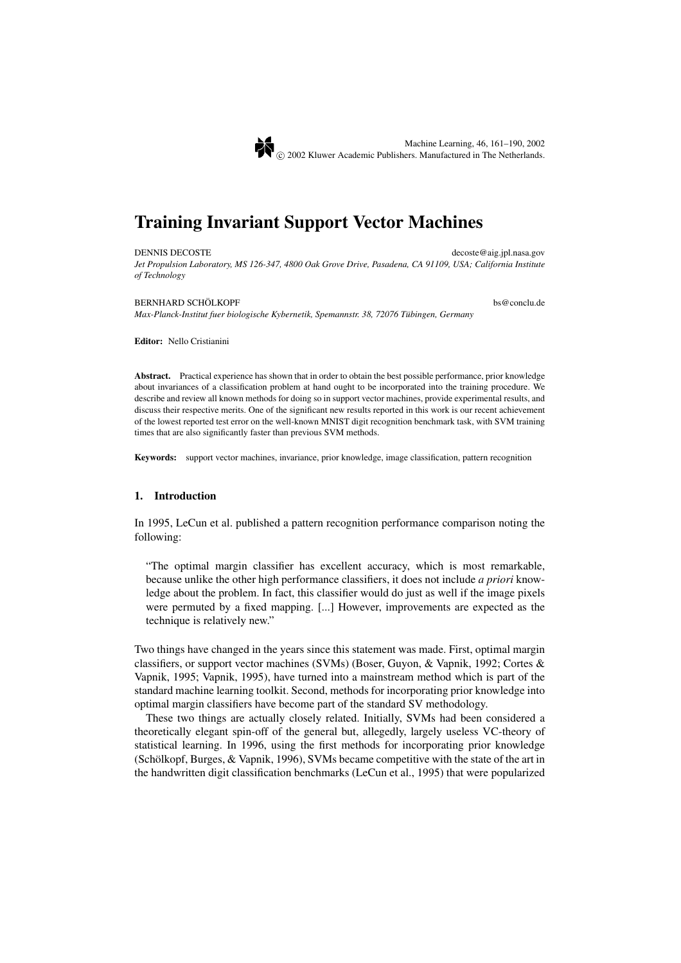# Training Invariant Support Vector Machines

DENNIS DECOSTE decoste @aig.jpl.nasa.gov

Jet Propulsion Laboratory, MS 126-347, 4800 Oak Grove Drive, Pasadena, CA 91109, USA; California Institute of Technology

BERNHARD SCHOLK ¨ OPF bs@conclu.de

Max-Planck-Institut fuer biologische Kybernetik, Spemannstr. 38, 72076 Tübingen, Germany

Editor: Nello Cristianini

Abstract. Practical experience has shown that in order to obtain the best possible performance, prior knowledge about invariances of a classification problem at hand ought to be incorporated into the training procedure. We describe and review all known methods for doing so in support vector machines, provide experimental results, and discuss their respective merits. One of the significant new results reported in this work is our recent achievement of the lowest reported test error on the well-known MNIST digit recognition benchmark task, with SVM training times that are also significantly faster than previous SVM methods.

Keywords: support vector machines, invariance, prior knowledge, image classification, pattern recognition

# 1. Introduction

In 1995, LeCun et al. published a pattern recognition performance comparison noting the following:

"The optimal margin classifier has excellent accuracy, which is most remarkable, because unlike the other high performance classifiers, it does not include a priori knowledge about the problem. In fact, this classifier would do just as well if the image pixels were permuted by a fixed mapping. [...] However, improvements are expected as the technique is relatively new."

Two things have changed in the years since this statement was made. First, optimal margin classifiers, or support vector machines (SVMs) (Boser, Guyon, & Vapnik, 1992; Cortes & Vapnik, 1995; Vapnik, 1995), have turned into a mainstream method which is part of the standard machine learning toolkit. Second, methods for incorporating prior knowledge into optimal margin classifiers have become part of the standard SV methodology.

These two things are actually closely related. Initially, SVMs had been considered a theoretically elegant spin-off of the general but, allegedly, largely useless VC-theory of statistical learning. In 1996, using the first methods for incorporating prior knowledge (Schölkopf, Burges,  $&$  Vapnik, 1996), SVMs became competitive with the state of the art in the handwritten digit classification benchmarks (LeCun et al., 1995) that were popularized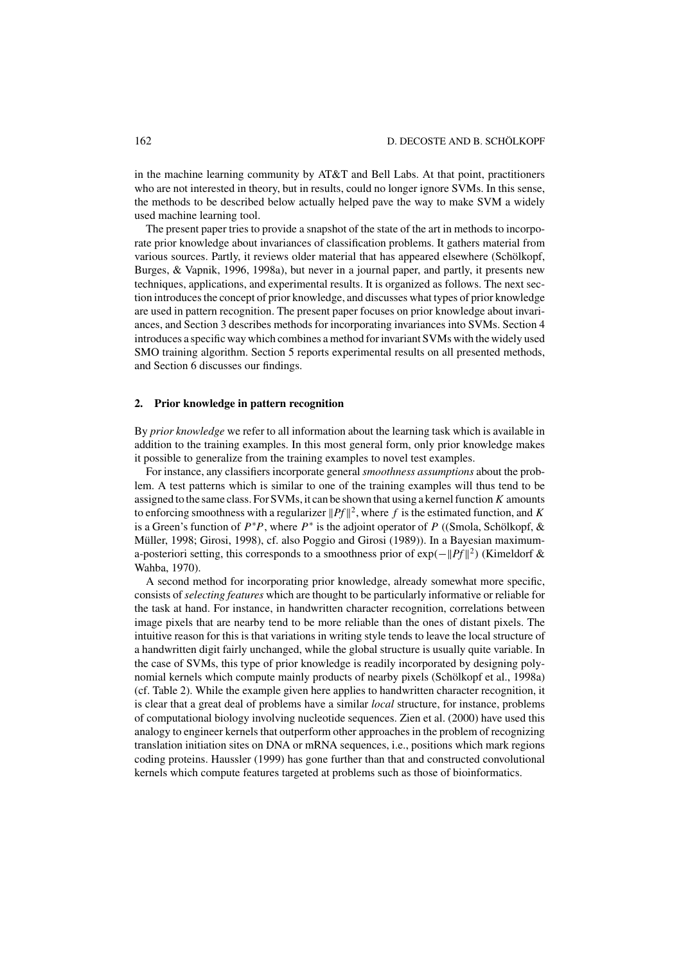in the machine learning community by AT&T and Bell Labs. At that point, practitioners who are not interested in theory, but in results, could no longer ignore SVMs. In this sense, the methods to be described below actually helped pave the way to make SVM a widely used machine learning tool.

The present paper tries to provide a snapshot of the state of the art in methods to incorporate prior knowledge about invariances of classification problems. It gathers material from various sources. Partly, it reviews older material that has appeared elsewhere (Schölkopf, Burges, & Vapnik, 1996, 1998a), but never in a journal paper, and partly, it presents new techniques, applications, and experimental results. It is organized as follows. The next section introducesthe concept of prior knowledge, and discusses what types of prior knowledge are used in pattern recognition. The present paper focuses on prior knowledge about invariances, and Section 3 describes methods for incorporating invariances into SVMs. Section 4 introduces a specific way which combines a method forinvariant SVMs with the widely used SMO training algorithm. Section 5 reports experimental results on all presented methods, and Section 6 discusses our findings.

#### 2. Prior knowledge in pattern recognition

By *prior knowledge* we refer to all information about the learning task which is available in addition to the training examples. In this most general form, only prior knowledge makes it possible to generalize from the training examples to novel test examples.

For instance, any classifiers incorporate general smoothness assumptions about the problem. A test patterns which is similar to one of the training examples will thus tend to be assigned to the same class. For SVMs, it can be shown that using a kernel function  $K$  amounts to enforcing smoothness with a regularizer  $||Pf||^2$ , where f is the estimated function, and K is a Green's function of  $P^*P$ , where  $P^*$  is the adjoint operator of P ((Smola, Schölkopf, & Müller, 1998; Girosi, 1998), cf. also Poggio and Girosi (1989)). In a Bayesian maximuma-posteriori setting, this corresponds to a smoothness prior of  $\exp(-||Pf||^2)$  (Kimeldorf & Wahba, 1970).

A second method for incorporating prior knowledge, already somewhat more specific, consists of selecting features which are thought to be particularly informative or reliable for the task at hand. For instance, in handwritten character recognition, correlations between image pixels that are nearby tend to be more reliable than the ones of distant pixels. The intuitive reason for this is that variations in writing style tends to leave the local structure of a handwritten digit fairly unchanged, while the global structure is usually quite variable. In the case of SVMs, this type of prior knowledge is readily incorporated by designing polynomial kernels which compute mainly products of nearby pixels (Schölkopf et al., 1998a) (cf. Table 2). While the example given here applies to handwritten character recognition, it is clear that a great deal of problems have a similar local structure, for instance, problems of computational biology involving nucleotide sequences. Zien et al. (2000) have used this analogy to engineer kernels that outperform other approaches in the problem of recognizing translation initiation sites on DNA or mRNA sequences, i.e., positions which mark regions coding proteins. Haussler (1999) has gone further than that and constructed convolutional kernels which compute features targeted at problems such as those of bioinformatics.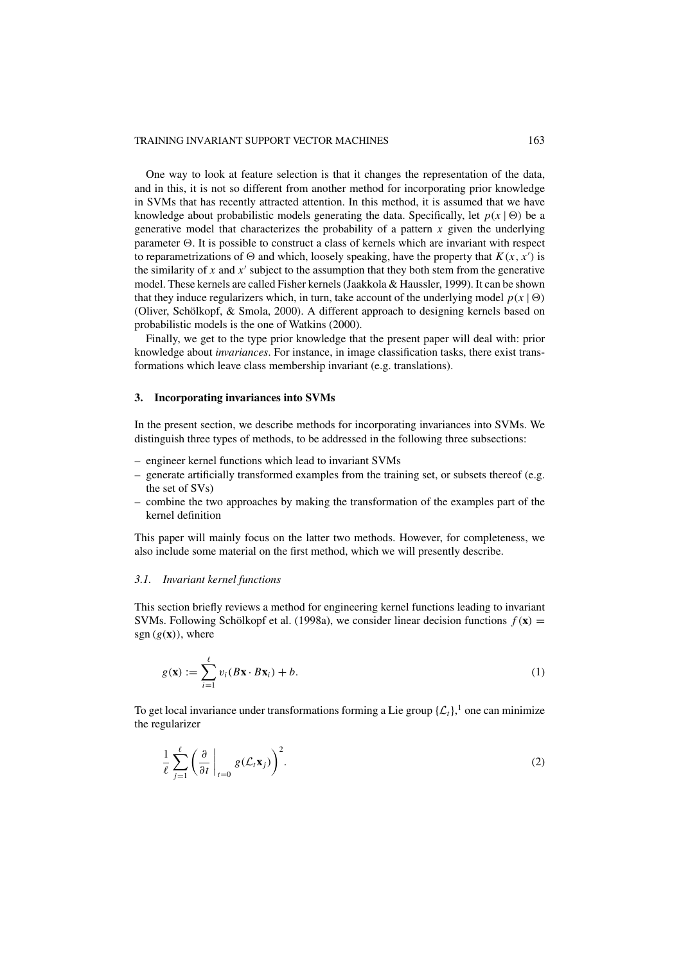#### TRAINING INVARIANT SUPPORT VECTOR MACHINES 163

One way to look at feature selection is that it changes the representation of the data, and in this, it is not so different from another method for incorporating prior knowledge in SVMs that has recently attracted attention. In this method, it is assumed that we have knowledge about probabilistic models generating the data. Specifically, let  $p(x | \Theta)$  be a generative model that characterizes the probability of a pattern  $x$  given the underlying parameter  $\Theta$ . It is possible to construct a class of kernels which are invariant with respect to reparametrizations of  $\Theta$  and which, loosely speaking, have the property that  $K(x, x')$  is the similarity of x and  $x'$  subject to the assumption that they both stem from the generative model. These kernels are called Fisher kernels(Jaakkola & Haussler, 1999). It can be shown that they induce regularizers which, in turn, take account of the underlying model  $p(x | \Theta)$ (Oliver, Schölkopf, & Smola, 2000). A different approach to designing kernels based on probabilistic models is the one of Watkins (2000).

Finally, we get to the type prior knowledge that the present paper will deal with: prior knowledge about invariances. For instance, in image classification tasks, there exist transformations which leave class membership invariant (e.g. translations).

#### 3. Incorporating invariances into SVMs

In the present section, we describe methods for incorporating invariances into SVMs. We distinguish three types of methods, to be addressed in the following three subsections:

- engineer kernel functions which lead to invariant SVMs
- generate artificially transformed examples from the training set, or subsets thereof (e.g. the set of SVs)
- combine the two approaches by making the transformation of the examples part of the kernel definition

This paper will mainly focus on the latter two methods. However, for completeness, we also include some material on the first method, which we will presently describe.

## 3.1. Invariant kernel functions

This section briefly reviews a method for engineering kernel functions leading to invariant SVMs. Following Schölkopf et al. (1998a), we consider linear decision functions  $f(\mathbf{x}) =$ sgn  $(g(x))$ , where

$$
g(\mathbf{x}) := \sum_{i=1}^{\ell} v_i (B\mathbf{x} \cdot B\mathbf{x}_i) + b. \tag{1}
$$

To get local invariance under transformations forming a Lie group  $\{\mathcal{L}_t\}$ ,<sup>1</sup> one can minimize the regularizer

$$
\frac{1}{\ell} \sum_{j=1}^{\ell} \left( \frac{\partial}{\partial t} \bigg|_{t=0} g(\mathcal{L}_t \mathbf{x}_j) \right)^2.
$$
 (2)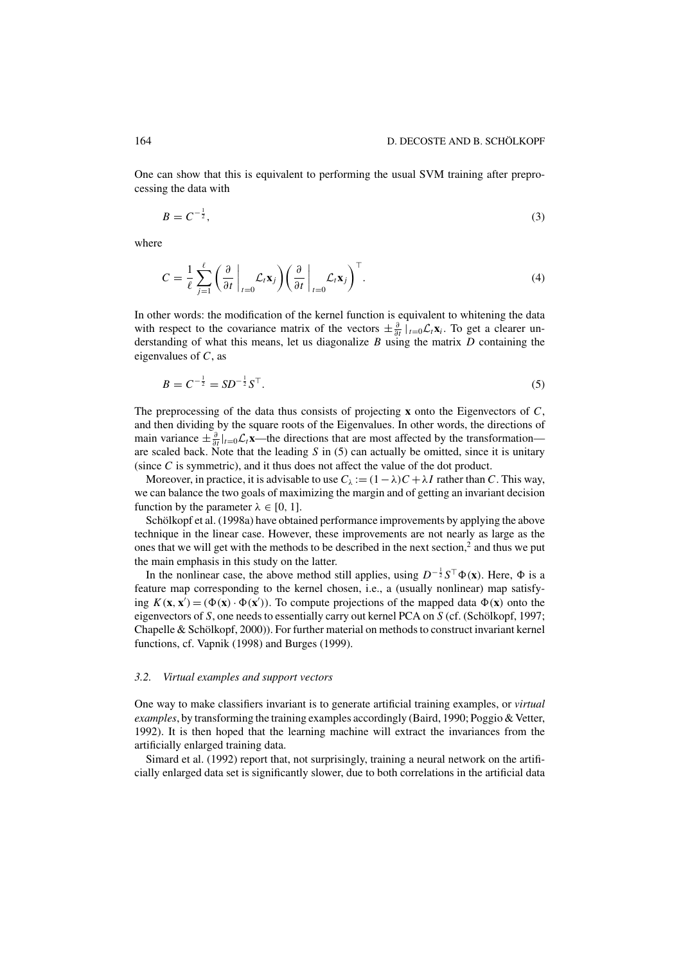One can show that this is equivalent to performing the usual SVM training after preprocessing the data with

$$
B = C^{-\frac{1}{2}},\tag{3}
$$

where

$$
C = \frac{1}{\ell} \sum_{j=1}^{\ell} \left( \frac{\partial}{\partial t} \left| \int_{t=0}^{\infty} \mathcal{L}_t \mathbf{x}_j \right) \left( \frac{\partial}{\partial t} \left| \int_{t=0}^{\infty} \mathcal{L}_t \mathbf{x}_j \right) \right.^{T} . \tag{4}
$$

In other words: the modification of the kernel function is equivalent to whitening the data with respect to the covariance matrix of the vectors  $\pm \frac{\partial}{\partial t}\big|_{t=0}\mathcal{L}_t \mathbf{x}_i$ . To get a clearer understanding of what this means, let us diagonalize  $B$  using the matrix  $D$  containing the eigenvalues of  $C$ , as

$$
B = C^{-\frac{1}{2}} = SD^{-\frac{1}{2}} S^{\top}.
$$
\n(5)

The preprocessing of the data thus consists of projecting  $x$  onto the Eigenvectors of  $C$ , and then dividing by the square roots of the Eigenvalues. In other words, the directions of main variance  $\pm \frac{\partial}{\partial t}|_{t=0}\mathcal{L}_t\mathbf{x}$ —the directions that are most affected by the transformation are scaled back. Note that the leading S in  $(5)$  can actually be omitted, since it is unitary (since  $C$  is symmetric), and it thus does not affect the value of the dot product.

Moreover, in practice, it is advisable to use  $C_{\lambda} := (1 - \lambda)C + \lambda I$  rather than C. This way, we can balance the two goals of maximizing the margin and of getting an invariant decision function by the parameter  $\lambda \in [0, 1]$ .

Schölk opf et al. (1998a) have obtained performance improvements by applying the above technique in the linear case. However, these improvements are not nearly as large as the ones that we will get with the methods to be described in the next section, $2$  and thus we put the main emphasis in this study on the latter.

In the nonlinear case, the above method still applies, using  $D^{-\frac{1}{2}}S^{\top}\Phi(\mathbf{x})$ . Here,  $\Phi$  is a feature map corresponding to the kernel chosen, i.e., a (usually nonlinear) map satisfying  $K(\mathbf{x}, \mathbf{x}') = (\Phi(\mathbf{x}) \cdot \Phi(\mathbf{x}'))$ . To compute projections of the mapped data  $\Phi(\mathbf{x})$  onto the eigenvectors of S, one needs to essentially carry out kernel PCA on  $S$  (cf. (Schölkopf, 1997; Chapelle & Schölkopf, 2000)). For further material on methods to construct invariant kernel functions, cf. Vapnik (1998) and Burges (1999).

## 3.2. Virtual examples and support vectors

One way to make classifiers invariant is to generate artificial training examples, or virtual examples, by transforming the training examples accordingly (Baird, 1990; Poggio & Vetter, 1992). It is then hoped that the learning machine will extract the invariances from the artificially enlarged training data.

Simard et al. (1992) report that, not surprisingly, training a neural network on the artificially enlarged data set is significantly slower, due to both correlations in the artificial data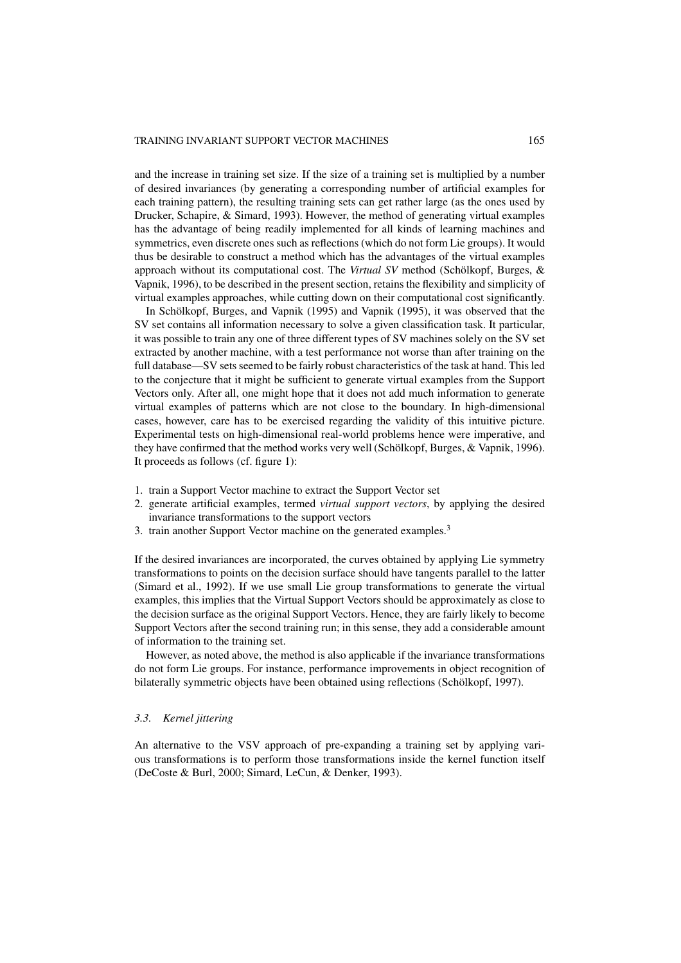and the increase in training set size. If the size of a training set is multiplied by a number of desired invariances (by generating a corresponding number of artificial examples for each training pattern), the resulting training sets can get rather large (as the ones used by Drucker, Schapire, & Simard, 1993). However, the method of generating virtual examples has the advantage of being readily implemented for all kinds of learning machines and symmetrics, even discrete ones such as reflections (which do not form Lie groups). It would thus be desirable to construct a method which has the advantages of the virtual examples approach without its computational cost. The Virtual SV method (Schölkopf, Burges,  $\&$ Vapnik, 1996), to be described in the present section, retains the flexibility and simplicity of virtual examples approaches, while cutting down on their computational cost significantly.

In Schölkopf, Burges, and Vapnik (1995) and Vapnik (1995), it was observed that the SV set contains all information necessary to solve a given classification task. It particular, it was possible to train any one of three different types of SV machines solely on the SV set extracted by another machine, with a test performance not worse than after training on the full database—SV sets seemed to be fairly robust characteristics of the task at hand. This led to the conjecture that it might be sufficient to generate virtual examples from the Support Vectors only. After all, one might hope that it does not add much information to generate virtual examples of patterns which are not close to the boundary. In high-dimensional cases, however, care has to be exercised regarding the validity of this intuitive picture. Experimental tests on high-dimensional real-world problems hence were imperative, and they have confirmed that the method works very well (Schölkopf, Burges, & Vapnik, 1996). It proceeds as follows (cf. figure 1):

- 1. train a Support Vector machine to extract the Support Vector set
- 2. generate artificial examples, termed virtual support vectors, by applying the desired invariance transformations to the support vectors
- 3. train another Support Vector machine on the generated examples.<sup>3</sup>

If the desired invariances are incorporated, the curves obtained by applying Lie symmetry transformations to points on the decision surface should have tangents parallel to the latter (Simard et al., 1992). If we use small Lie group transformations to generate the virtual examples, this implies that the Virtual Support Vectors should be approximately as close to the decision surface as the original Support Vectors. Hence, they are fairly likely to become Support Vectors after the second training run; in this sense, they add a considerable amount of information to the training set.

However, as noted above, the method is also applicable if the invariance transformations do not form Lie groups. For instance, performance improvements in object recognition of bilaterally symmetric objects have been obtained using reflections (Schölkopf, 1997).

### 3.3. Kernel jittering

An alternative to the VSV approach of pre-expanding a training set by applying various transformations is to perform those transformations inside the kernel function itself (DeCoste & Burl, 2000; Simard, LeCun, & Denker, 1993).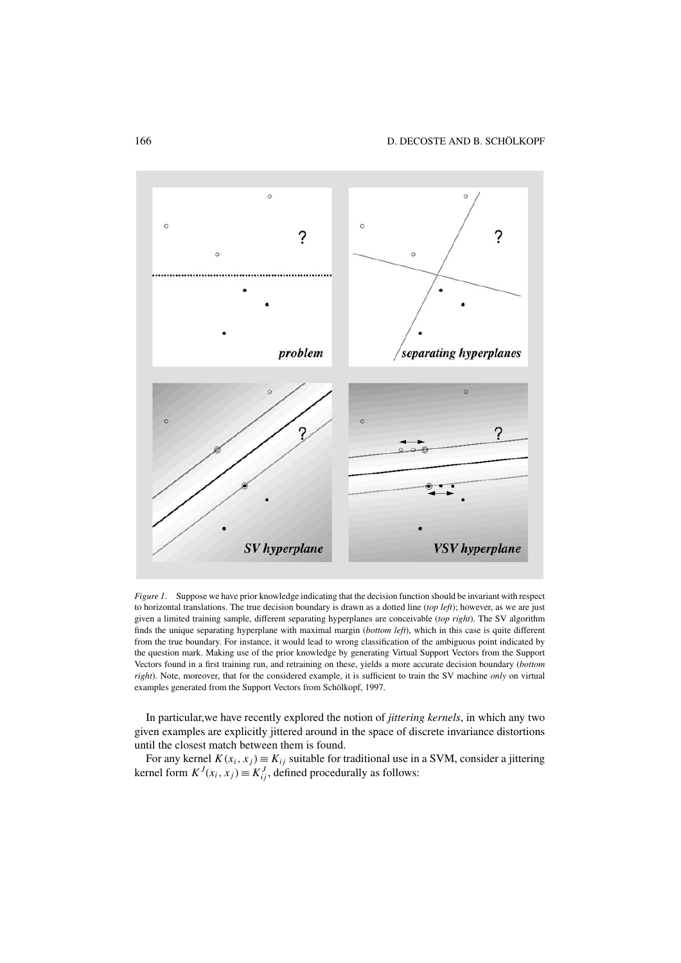

Figure 1. Suppose we have prior knowledge indicating that the decision function should be invariant with respect to horizontal translations. The true decision boundary is drawn as a dotted line (top left); however, as we are just given a limited training sample, different separating hyperplanes are conceivable (top right). The SV algorithm finds the unique separating hyperplane with maximal margin (bottom left), which in this case is quite different from the true boundary. For instance, it would lead to wrong classification of the ambiguous point indicated by the question mark. Making use of the prior knowledge by generating Virtual Support Vectors from the Support Vectors found in a first training run, and retraining on these, yields a more accurate decision boundary (bottom right). Note, moreover, that for the considered example, it is sufficient to train the SV machine only on virtual examples generated from the Support Vectors from Schölkopf, 1997.

In particular,we have recently explored the notion of jittering kernels, in which any two given examples are explicitly jittered around in the space of discrete invariance distortions until the closest match between them is found.

For any kernel  $K(x_i, x_j) \equiv K_{ij}$  suitable for traditional use in a SVM, consider a jittering kernel form  $K^J(x_i, x_j) \equiv K^J_{ij}$ , defined procedurally as follows: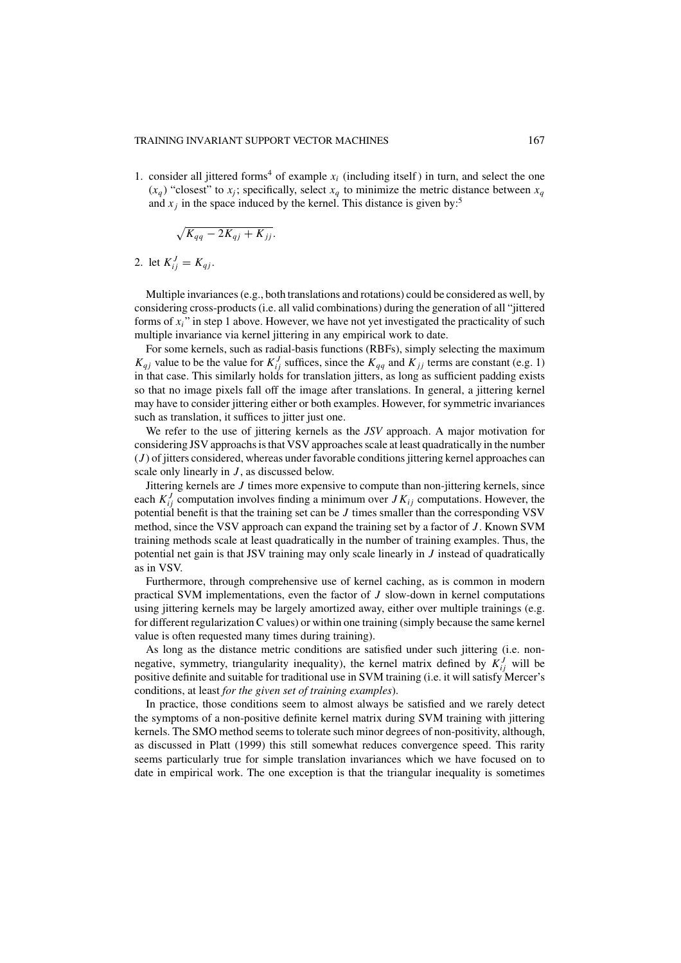1. consider all jittered forms<sup>4</sup> of example  $x_i$  (including itself) in turn, and select the one  $(x_q)$  "closest" to  $x_j$ ; specifically, select  $x_q$  to minimize the metric distance between  $x_q$ and  $x_j$  in the space induced by the kernel. This distance is given by:<sup>5</sup>

$$
\sqrt{K_{qq}-2K_{qj}+K_{jj}}.
$$

$$
2. \ \mathrm{let} \ K_{ij}^J = K_{qj}.
$$

Multiple invariances(e.g., both translations and rotations) could be considered as well, by considering cross-products(i.e. all valid combinations) during the generation of all "jittered forms of  $x_i$ " in step 1 above. However, we have not yet investigated the practicality of such multiple invariance via kernel jittering in any empirical work to date.

For some kernels, such as radial-basis functions (RBFs), simply selecting the maximum  $K_{qj}$  value to be the value for  $K_{ij}^J$  suffices, since the  $K_{qq}$  and  $K_{jj}$  terms are constant (e.g. 1) in that case. This similarly holds for translation jitters, as long as sufficient padding exists so that no image pixels fall off the image after translations. In general, a jittering kernel may have to consider jittering either or both examples. However, for symmetric invariances such as translation, it suffices to jitter just one.

We refer to the use of jittering kernels as the JSV approach. A major motivation for considering JSV approachsisthat VSV approachesscale at least quadratically in the number  $(J)$  of jitters considered, whereas under favorable conditions jittering kernel approaches can scale only linearly in J, as discussed below.

Jittering kernels are  $J$  times more expensive to compute than non-jittering kernels, since each  $K_{ij}^J$  computation involves finding a minimum over  $JK_{ij}$  computations. However, the potential benefit is that the training set can be J times smaller than the corresponding VSV method, since the VSV approach can expand the training set by a factor of J. Known SVM training methods scale at least quadratically in the number of training examples. Thus, the potential net gain is that JSV training may only scale linearly in J instead of quadratically as in VSV.

Furthermore, through comprehensive use of kernel caching, as is common in modern practical SVM implementations, even the factor of  $J$  slow-down in kernel computations using jittering kernels may be largely amortized away, either over multiple trainings (e.g. for different regularization C values) or within one training (simply because the same kernel value is often requested many times during training).

As long as the distance metric conditions are satisfied under such jittering (i.e. nonnegative, symmetry, triangularity inequality), the kernel matrix defined by  $K_{ij}^{J}$  will be positive definite and suitable for traditional use in SVM training (i.e. it will satisfy Mercer's conditions, at least for the given set of training examples).

In practice, those conditions seem to almost always be satisfied and we rarely detect the symptoms of a non-positive definite kernel matrix during SVM training with jittering kernels. The SMO method seemsto tolerate such minor degrees of non-positivity, although, as discussed in Platt (1999) this still somewhat reduces convergence speed. This rarity seems particularly true for simple translation invariances which we have focused on to date in empirical work. The one exception is that the triangular inequality is sometimes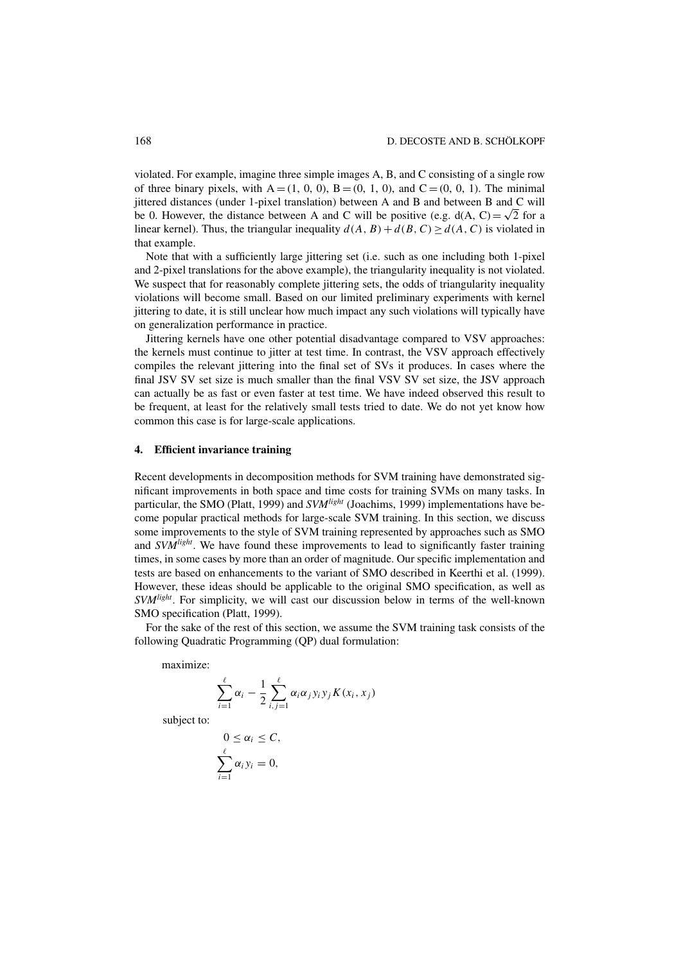violated. For example, imagine three simple images A, B, and C consisting of a single row of three binary pixels, with  $A = (1, 0, 0)$ ,  $B = (0, 1, 0)$ , and  $C = (0, 0, 1)$ . The minimal jittered distances (under 1-pixel translation) between A and B and between B and C will be 0. However, the distance between A and C will be positive (e.g.  $d(A, C) = \sqrt{2}$  for a linear kernel). Thus, the triangular inequality  $d(A, B) + d(B, C) \ge d(A, C)$  is violated in that example.

Note that with a sufficiently large jittering set (i.e. such as one including both 1-pixel and 2-pixel translations for the above example), the triangularity inequality is not violated. We suspect that for reasonably complete jittering sets, the odds of triangularity inequality violations will become small. Based on our limited preliminary experiments with kernel jittering to date, it is still unclear how much impact any such violations will typically have on generalization performance in practice.

Jittering kernels have one other potential disadvantage compared to VSV approaches: the kernels must continue to jitter at test time. In contrast, the VSV approach effectively compiles the relevant jittering into the final set of SVs it produces. In cases where the final JSV SV set size is much smaller than the final VSV SV set size, the JSV approach can actually be as fast or even faster at test time. We have indeed observed this result to be frequent, at least for the relatively small tests tried to date. We do not yet know how common this case is for large-scale applications.

## 4. Efficient invariance training

Recent developments in decomposition methods for SVM training have demonstrated significant improvements in both space and time costs for training SVMs on many tasks. In particular, the SMO (Platt, 1999) and  $SVM^{light}$  (Joachims, 1999) implementations have become popular practical methods for large-scale SVM training. In this section, we discuss some improvements to the style of SVM training represented by approaches such as SMO and  $SVM<sup>light</sup>$ . We have found these improvements to lead to significantly faster training times, in some cases by more than an order of magnitude. Our specific implementation and tests are based on enhancements to the variant of SMO described in Keerthi et al. (1999). However, these ideas should be applicable to the original SMO specification, as well as SVM<sup>light</sup>. For simplicity, we will cast our discussion below in terms of the well-known SMO specification (Platt, 1999).

For the sake of the rest of this section, we assume the SVM training task consists of the following Quadratic Programming (QP) dual formulation:

maximize:

$$
\sum_{i=1}^{\ell} \alpha_i - \frac{1}{2} \sum_{i,j=1}^{\ell} \alpha_i \alpha_j y_i y_j K(x_i, x_j)
$$

subject to:

$$
0 \leq \alpha_i \leq C,
$$
  

$$
\sum_{i=1}^{\ell} \alpha_i y_i = 0,
$$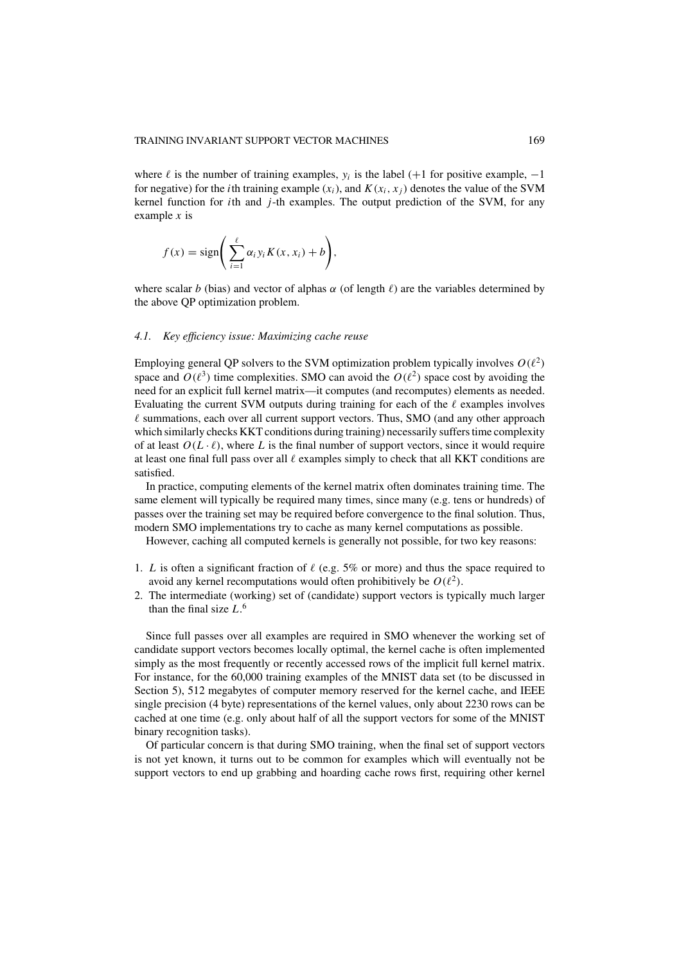where  $\ell$  is the number of training examples,  $y_i$  is the label (+1 for positive example, -1 for negative) for the *i*th training example  $(x_i)$ , and  $K(x_i, x_i)$  denotes the value of the SVM kernel function for *i*th and *j*-th examples. The output prediction of the SVM, for any example  $x$  is

$$
f(x) = sign\bigg(\sum_{i=1}^{\ell} \alpha_i y_i K(x, x_i) + b\bigg),\,
$$

where scalar b (bias) and vector of alphas  $\alpha$  (of length  $\ell$ ) are the variables determined by the above QP optimization problem.

## 4.1. Key efficiency issue: Maximizing cache reuse

Employing general QP solvers to the SVM optimization problem typically involves  $O(\ell^2)$ space and  $O(\ell^3)$  time complexities. SMO can avoid the  $O(\ell^2)$  space cost by avoiding the need for an explicit full kernel matrix—it computes (and recomputes) elements as needed. Evaluating the current SVM outputs during training for each of the  $\ell$  examples involves  $\ell$  summations, each over all current support vectors. Thus, SMO (and any other approach which similarly checks KKT conditions during training) necessarily suffers time complexity of at least  $O(L \cdot \ell)$ , where L is the final number of support vectors, since it would require at least one final full pass over all  $\ell$  examples simply to check that all KKT conditions are satisfied.

In practice, computing elements of the kernel matrix often dominates training time. The same element will typically be required many times, since many (e.g. tens or hundreds) of passes over the training set may be required before convergence to the final solution. Thus, modern SMO implementations try to cache as many kernel computations as possible.

However, caching all computed kernels is generally not possible, for two key reasons:

- 1. L is often a significant fraction of  $\ell$  (e.g. 5% or more) and thus the space required to avoid any kernel recomputations would often prohibitively be  $O(\ell^2)$ .
- 2. The intermediate (working) set of (candidate) support vectors is typically much larger than the final size  $L<sup>6</sup>$

Since full passes over all examples are required in SMO whenever the working set of candidate support vectors becomes locally optimal, the kernel cache is often implemented simply as the most frequently or recently accessed rows of the implicit full kernel matrix. For instance, for the 60,000 training examples of the MNIST data set (to be discussed in Section 5), 512 megabytes of computer memory reserved for the kernel cache, and IEEE single precision (4 byte) representations of the kernel values, only about 2230 rows can be cached at one time (e.g. only about half of all the support vectors for some of the MNIST binary recognition tasks).

Of particular concern is that during SMO training, when the final set of support vectors is not yet known, it turns out to be common for examples which will eventually not be support vectors to end up grabbing and hoarding cache rows first, requiring other kernel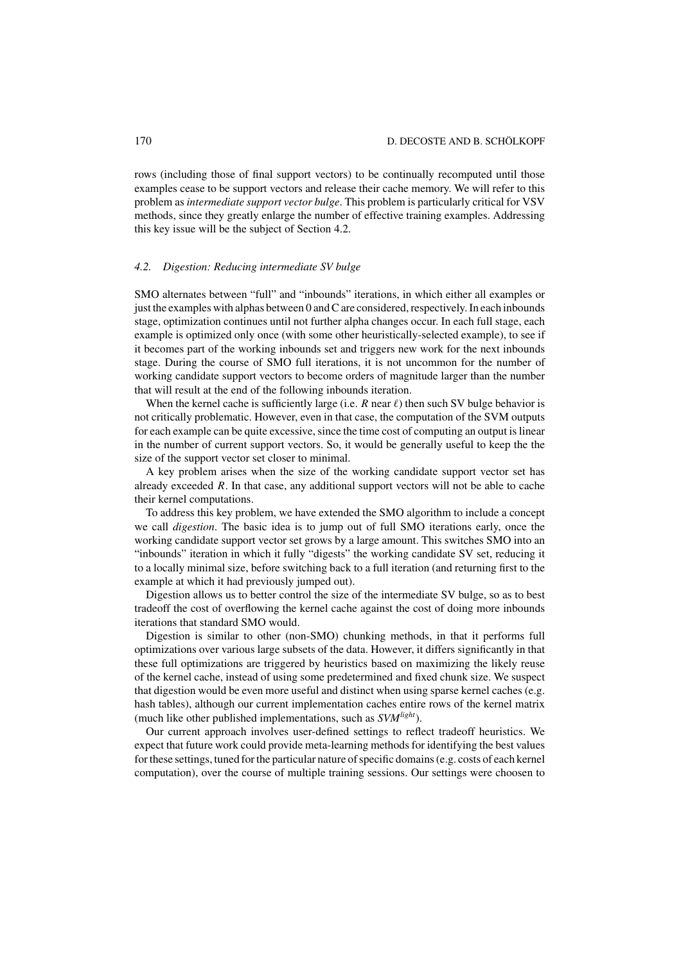rows (including those of final support vectors) to be continually recomputed until those examples cease to be support vectors and release their cache memory. We will refer to this problem as intermediate support vector bulge. This problem is particularly critical for VSV methods, since they greatly enlarge the number of effective training examples. Addressing this key issue will be the subject of Section 4.2.

## 4.2. Digestion: Reducing intermediate SV bulge

SMO alternates between "full" and "inbounds" iterations, in which either all examples or just the examples with alphas between  $0$  and  $C$  are considered, respectively. In each inbounds stage, optimization continues until not further alpha changes occur. In each full stage, each example is optimized only once (with some other heuristically-selected example), to see if it becomes part of the working inbounds set and triggers new work for the next inbounds stage. During the course of SMO full iterations, it is not uncommon for the number of working candidate support vectors to become orders of magnitude larger than the number that will result at the end of the following inbounds iteration.

When the kernel cache is sufficiently large (i.e. R near  $\ell$ ) then such SV bulge behavior is not critically problematic. However, even in that case, the computation of the SVM outputs for each example can be quite excessive, since the time cost of computing an output is linear in the number of current support vectors. So, it would be generally useful to keep the the size of the support vector set closer to minimal.

A key problem arises when the size of the working candidate support vector set has already exceeded  $R$ . In that case, any additional support vectors will not be able to cache their kernel computations.

To address this key problem, we have extended the SMO algorithm to include a concept we call digestion. The basic idea is to jump out of full SMO iterations early, once the working candidate support vector set grows by a large amount. This switches SMO into an "inbounds" iteration in which it fully "digests" the working candidate SV set, reducing it to a locally minimal size, before switching back to a full iteration (and returning first to the example at which it had previously jumped out).

Digestion allows us to better control the size of the intermediate SV bulge, so as to best tradeoff the cost of overflowing the kernel cache against the cost of doing more inbounds iterations that standard SMO would.

Digestion is similar to other (non-SMO) chunking methods, in that it performs full optimizations over various large subsets of the data. However, it differs significantly in that these full optimizations are triggered by heuristics based on maximizing the likely reuse of the kernel cache, instead of using some predetermined and fixed chunk size. We suspect that digestion would be even more useful and distinct when using sparse kernel caches (e.g. hash tables), although our current implementation caches entire rows of the kernel matrix (much like other published implementations, such as  $SVM^{light}$ ).

Our current approach involves user-defined settings to reflect tradeoff heuristics. We expect that future work could provide meta-learning methods for identifying the best values for these settings, tuned for the particular nature of specific domains (e.g. costs of each kernel computation), over the course of multiple training sessions. Our settings were choosen to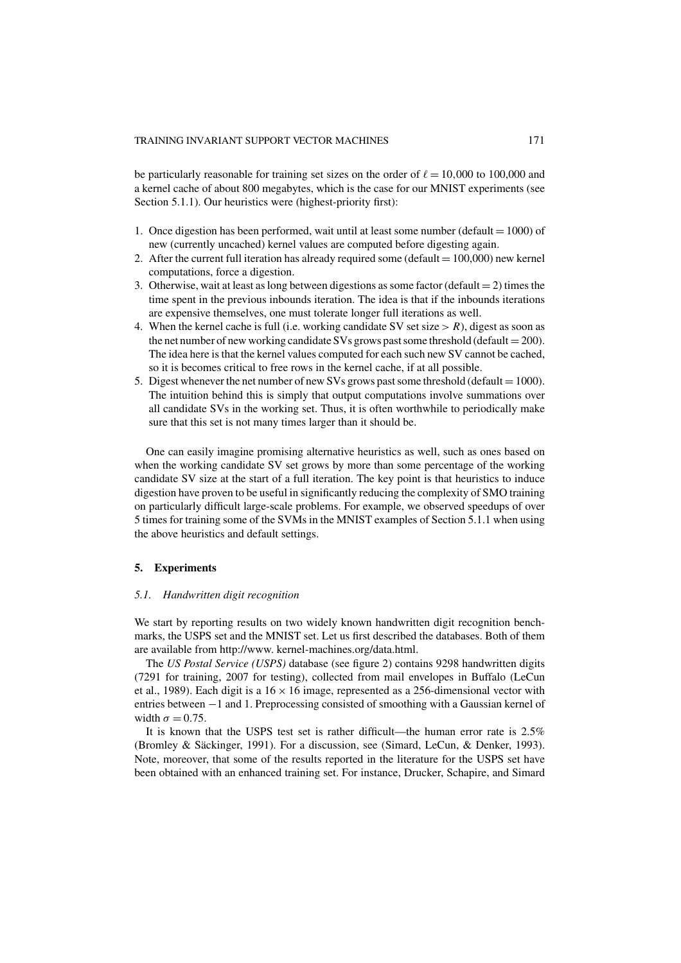be particularly reasonable for training set sizes on the order of  $\ell = 10,000$  to 100,000 and a kernel cache of about 800 megabytes, which is the case for our MNIST experiments (see Section 5.1.1). Our heuristics were (highest-priority first):

- 1. Once digestion has been performed, wait until at least some number (default  $= 1000$ ) of new (currently uncached) kernel values are computed before digesting again.
- 2. After the current full iteration has already required some (default  $= 100,000$ ) new kernel computations, force a digestion.
- 3. Otherwise, wait at least as long between digestions as some factor (default  $= 2$ ) times the time spent in the previous inbounds iteration. The idea is that if the inbounds iterations are expensive themselves, one must tolerate longer full iterations as well.
- 4. When the kernel cache is full (i.e. working candidate SV set size  $> R$ ), digest as soon as the net number of new working candidate SVs grows past some threshold (default  $= 200$ ). The idea here is that the kernel values computed for each such new SV cannot be cached, so it is becomes critical to free rows in the kernel cache, if at all possible.
- 5. Digest whenever the net number of new SVs grows past some threshold (default  $= 1000$ ). The intuition behind this is simply that output computations involve summations over all candidate SVs in the working set. Thus, it is often worthwhile to periodically make sure that this set is not many times larger than it should be.

One can easily imagine promising alternative heuristics as well, such as ones based on when the working candidate SV set grows by more than some percentage of the working candidate SV size at the start of a full iteration. The key point is that heuristics to induce digestion have proven to be useful in significantly reducing the complexity of SMO training on particularly difficult large-scale problems. For example, we observed speedups of over 5 times for training some of the SVMs in the MNIST examples of Section 5.1.1 when using the above heuristics and default settings.

## 5. Experiments

## 5.1. Handwritten digit recognition

We start by reporting results on two widely known handwritten digit recognition benchmarks, the USPS set and the MNIST set. Let us first described the databases. Both of them are available from http://www. kernel-machines.org/data.html.

The US Postal Service (USPS) database (see figure 2) contains 9298 handwritten digits (7291 for training, 2007 for testing), collected from mail envelopes in Buffalo (LeCun et al., 1989). Each digit is a  $16 \times 16$  image, represented as a 256-dimensional vector with entries between −1 and 1. Preprocessing consisted of smoothing with a Gaussian kernel of width  $\sigma = 0.75$ .

It is known that the USPS test set is rather difficult—the human error rate is 2.5% (Bromley & Säckinger, 1991). For a discussion, see (Simard, LeCun, & Denker, 1993). Note, moreover, that some of the results reported in the literature for the USPS set have been obtained with an enhanced training set. For instance, Drucker, Schapire, and Simard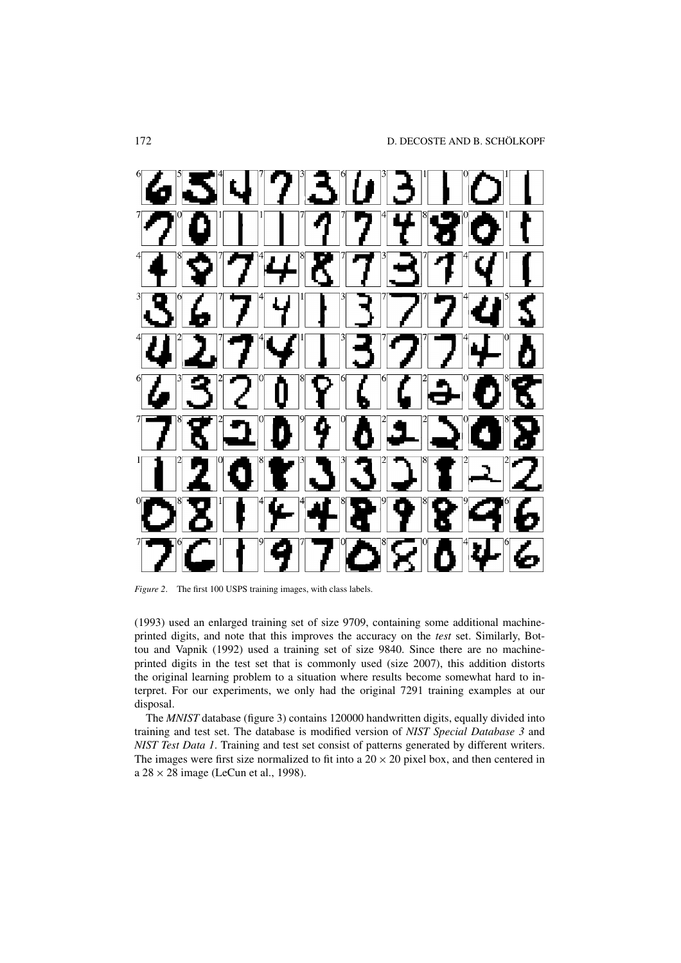

Figure 2. The first 100 USPS training images, with class labels.

(1993) used an enlarged training set of size 9709, containing some additional machineprinted digits, and note that this improves the accuracy on the test set. Similarly, Bottou and Vapnik (1992) used a training set of size 9840. Since there are no machineprinted digits in the test set that is commonly used (size 2007), this addition distorts the original learning problem to a situation where results become somewhat hard to interpret. For our experiments, we only had the original 7291 training examples at our disposal.

The MNIST database (figure 3) contains 120000 handwritten digits, equally divided into training and test set. The database is modified version of NIST Special Database 3 and NIST Test Data 1. Training and test set consist of patterns generated by different writers. The images were first size normalized to fit into a  $20 \times 20$  pixel box, and then centered in a  $28 \times 28$  image (LeCun et al., 1998).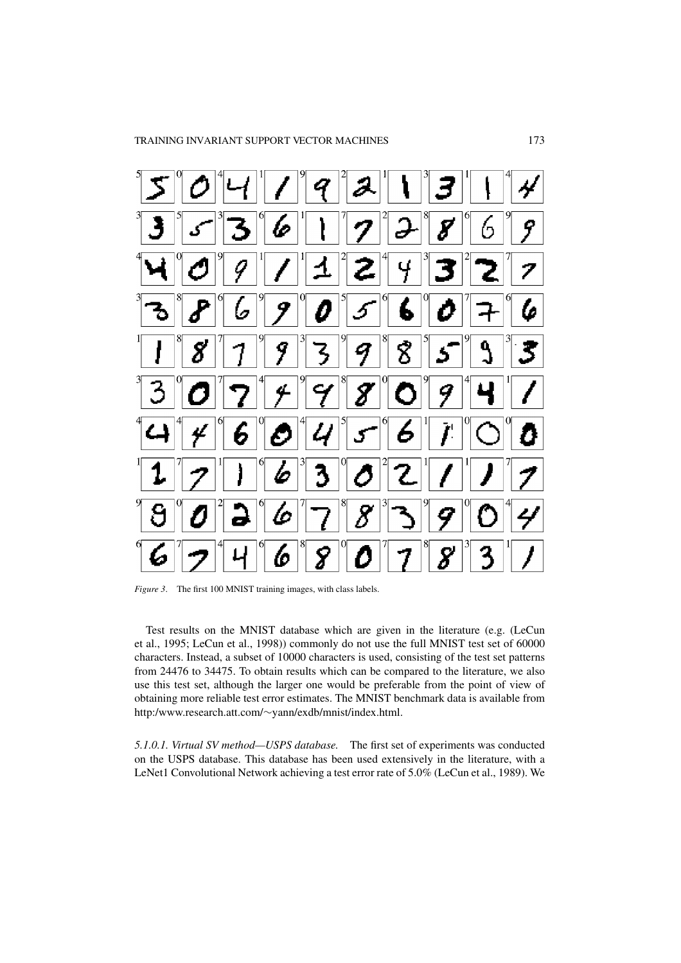

Figure 3. The first 100 MNIST training images, with class labels.

Test results on the MNIST database which are given in the literature (e.g. (LeCun et al., 1995; LeCun et al., 1998)) commonly do not use the full MNIST test set of 60000 characters. Instead, a subset of 10000 characters is used, consisting of the test set patterns from 24476 to 34475. To obtain results which can be compared to the literature, we also use this test set, although the larger one would be preferable from the point of view of obtaining more reliable test error estimates. The MNIST benchmark data is available from http:/www.research.att.com/∼yann/exdb/mnist/index.html.

5.1.0.1. Virtual SV method—USPS database. The first set of experiments was conducted on the USPS database. This database has been used extensively in the literature, with a LeNet1 Convolutional Network achieving a test error rate of 5.0% (LeCun et al., 1989). We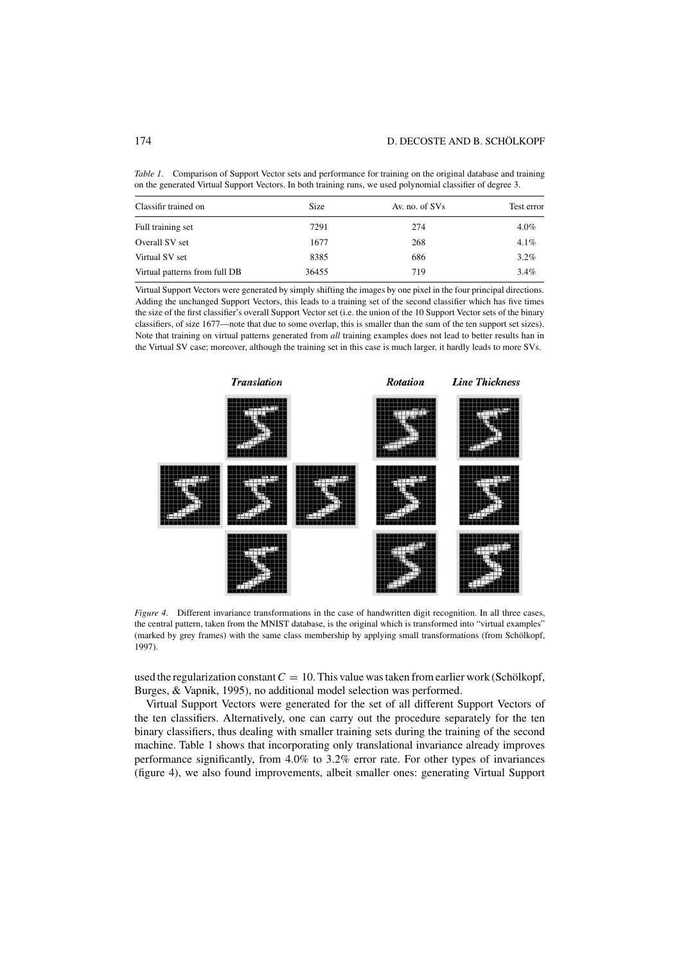Table 1. Comparison of Support Vector sets and performance for training on the original database and training on the generated Virtual Support Vectors. In both training runs, we used polynomial classifier of degree 3.

| Classifir trained on          | <b>Size</b> | Av. no. of SVs | Test error |
|-------------------------------|-------------|----------------|------------|
| Full training set             | 7291        | 274            | 4.0%       |
| Overall SV set                | 1677        | 268            | $4.1\%$    |
| Virtual SV set                | 8385        | 686            | $3.2\%$    |
| Virtual patterns from full DB | 36455       | 719            | $3.4\%$    |

Virtual Support Vectors were generated by simply shifting the images by one pixel in the four principal directions. Adding the unchanged Support Vectors, this leads to a training set of the second classifier which has five times the size of the first classifier's overall Support Vector set (i.e. the union of the 10 Support Vector sets of the binary classifiers, of size 1677—note that due to some overlap, this is smaller than the sum of the ten support set sizes). Note that training on virtual patterns generated from *all* training examples does not lead to better results han in the Virtual SV case; moreover, although the training set in this case is much larger, it hardly leads to more SVs.



Figure 4. Different invariance transformations in the case of handwritten digit recognition. In all three cases, the central pattern, taken from the MNIST database, is the original which is transformed into "virtual examples" (marked by grey frames) with the same class membership by applying small transformations (from Schölkopf, 1997).

used the regularization constant  $C = 10$ . This value was taken from earlier work (Schölkopf, Burges, & Vapnik, 1995), no additional model selection was performed.

Virtual Support Vectors were generated for the set of all different Support Vectors of the ten classifiers. Alternatively, one can carry out the procedure separately for the ten binary classifiers, thus dealing with smaller training sets during the training of the second machine. Table 1 shows that incorporating only translational invariance already improves performance significantly, from 4.0% to 3.2% error rate. For other types of invariances (figure 4), we also found improvements, albeit smaller ones: generating Virtual Support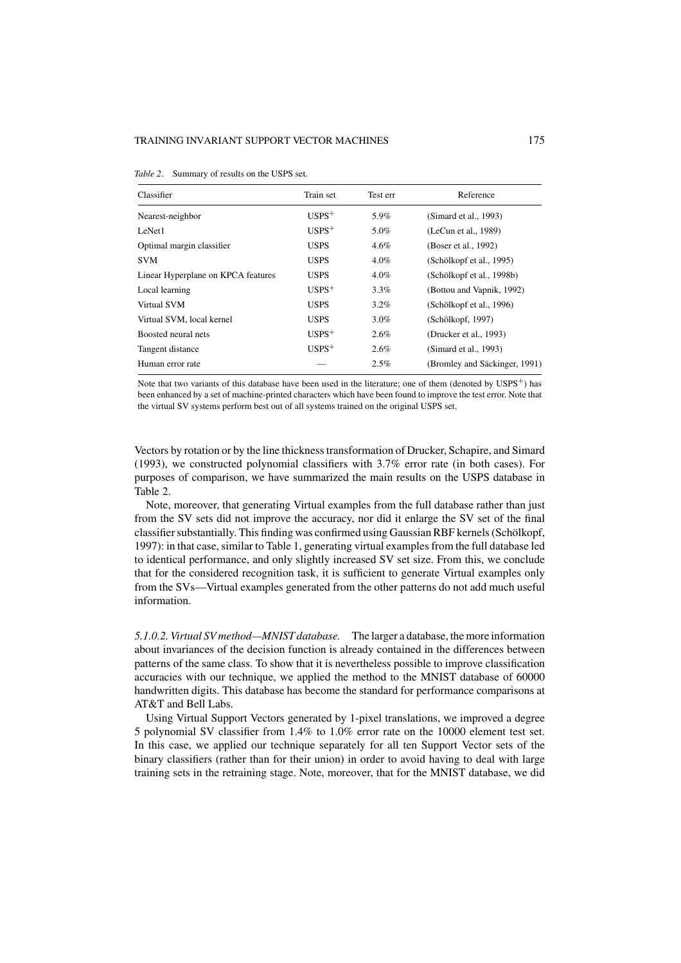| Table 2. | Summary of results on the USPS set. |  |  |  |  |
|----------|-------------------------------------|--|--|--|--|
|----------|-------------------------------------|--|--|--|--|

| Classifier                         | Train set   | Test err | Reference                     |
|------------------------------------|-------------|----------|-------------------------------|
| Nearest-neighbor                   | $USPS^+$    | 5.9%     | (Simard et al., 1993)         |
| LeNet1                             | $USPS+$     | 5.0%     | (LeCun et al., 1989)          |
| Optimal margin classifier          | <b>USPS</b> | 4.6%     | (Boser et al., 1992)          |
| <b>SVM</b>                         | <b>USPS</b> | $4.0\%$  | (Schölkopf et al., 1995)      |
| Linear Hyperplane on KPCA features | <b>USPS</b> | 4.0%     | (Schölkopf et al., 1998b)     |
| Local learning                     | $USPS^+$    | $3.3\%$  | (Bottou and Vapnik, 1992)     |
| Virtual SVM                        | <b>USPS</b> | $3.2\%$  | (Schölkopf et al., 1996)      |
| Virtual SVM, local kernel          | <b>USPS</b> | $3.0\%$  | (Schölkopf, 1997)             |
| Boosted neural nets                | $USPS^+$    | 2.6%     | (Drucker et al., 1993)        |
| Tangent distance                   | $USPS+$     | 2.6%     | (Simard et al., 1993)         |
| Human error rate                   |             | 2.5%     | (Bromley and Säckinger, 1991) |

Note that two variants of this database have been used in the literature; one of them (denoted by  $USPS^+$ ) has been enhanced by a set of machine-printed characters which have been found to improve the test error. Note that the virtual SV systems perform best out of all systems trained on the original USPS set.

Vectors by rotation or by the line thicknesstransformation of Drucker, Schapire, and Simard (1993), we constructed polynomial classifiers with 3.7% error rate (in both cases). For purposes of comparison, we have summarized the main results on the USPS database in Table 2.

Note, moreover, that generating Virtual examples from the full database rather than just from the SV sets did not improve the accuracy, nor did it enlarge the SV set of the final classifier substantially. This finding was confirmed using Gaussian RBF kernels (Schölkopf, 1997): in that case,similar to Table 1, generating virtual examplesfrom the full database led to identical performance, and only slightly increased SV set size. From this, we conclude that for the considered recognition task, it is sufficient to generate Virtual examples only from the SVs—Virtual examples generated from the other patterns do not add much useful information.

5.1.0.2. Virtual SV method—MNIST database. The larger a database, themore information about invariances of the decision function is already contained in the differences between patterns of the same class. To show that it is nevertheless possible to improve classification accuracies with our technique, we applied the method to the MNIST database of 60000 handwritten digits. This database has become the standard for performance comparisons at AT&T and Bell Labs.

Using Virtual Support Vectors generated by 1-pixel translations, we improved a degree 5 polynomial SV classifier from 1.4% to 1.0% error rate on the 10000 element test set. In this case, we applied our technique separately for all ten Support Vector sets of the binary classifiers (rather than for their union) in order to avoid having to deal with large training sets in the retraining stage. Note, moreover, that for the MNIST database, we did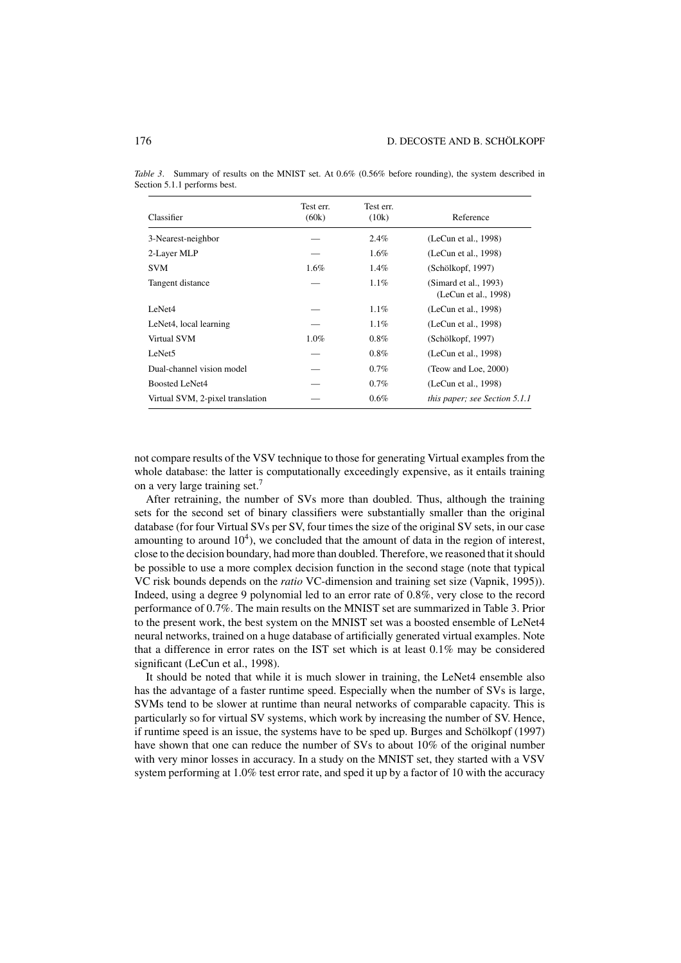| Classifier                          | Test err.<br>(60k) | Test err.<br>(10k) | Reference                                     |
|-------------------------------------|--------------------|--------------------|-----------------------------------------------|
| 3-Nearest-neighbor                  |                    | 2.4%               | (LeCun et al., 1998)                          |
| 2-Layer MLP                         |                    | $1.6\%$            | (LeCun et al., 1998)                          |
| <b>SVM</b>                          | $1.6\%$            | 1.4%               | (Schölkopf, 1997)                             |
| Tangent distance                    |                    | $1.1\%$            | (Simard et al., 1993)<br>(LeCun et al., 1998) |
| LeNet4                              |                    | 1.1%               | (LeCun et al., 1998)                          |
| LeNet <sub>4</sub> , local learning |                    | 1.1%               | (LeCun et al., 1998)                          |
| Virtual SVM                         | 1.0%               | $0.8\%$            | (Schölkopf, 1997)                             |
| LeNet <sub>5</sub>                  |                    | $0.8\%$            | (LeCun et al., 1998)                          |
| Dual-channel vision model           |                    | 0.7%               | (Teow and Loe, 2000)                          |
| <b>Boosted LeNet4</b>               |                    | 0.7%               | (LeCun et al., 1998)                          |
| Virtual SVM, 2-pixel translation    |                    | 0.6%               | this paper; see Section 5.1.1                 |

Table 3. Summary of results on the MNIST set. At 0.6% (0.56% before rounding), the system described in Section 5.1.1 performs best.

not compare results of the VSV technique to those for generating Virtual examples from the whole database: the latter is computationally exceedingly expensive, as it entails training on a very large training set.<sup>7</sup>

After retraining, the number of SVs more than doubled. Thus, although the training sets for the second set of binary classifiers were substantially smaller than the original database (for four Virtual SVs per SV, four times the size of the original SV sets, in our case amounting to around  $10<sup>4</sup>$ ), we concluded that the amount of data in the region of interest, close to the decision boundary, had more than doubled. Therefore, we reasoned that it should be possible to use a more complex decision function in the second stage (note that typical VC risk bounds depends on the ratio VC-dimension and training set size (Vapnik, 1995)). Indeed, using a degree 9 polynomial led to an error rate of 0.8%, very close to the record performance of 0.7%. The main results on the MNIST set are summarized in Table 3. Prior to the present work, the best system on the MNIST set was a boosted ensemble of LeNet4 neural networks, trained on a huge database of artificially generated virtual examples. Note that a difference in error rates on the IST set which is at least 0.1% may be considered significant (LeCun et al., 1998).

It should be noted that while it is much slower in training, the LeNet4 ensemble also has the advantage of a faster runtime speed. Especially when the number of SVs is large, SVMs tend to be slower at runtime than neural networks of comparable capacity. This is particularly so for virtual SV systems, which work by increasing the number of SV. Hence, if runtime speed is an issue, the systems have to be sped up. Burges and Schölkopf (1997) have shown that one can reduce the number of SVs to about 10% of the original number with very minor losses in accuracy. In a study on the MNIST set, they started with a VSV system performing at 1.0% test error rate, and sped it up by a factor of 10 with the accuracy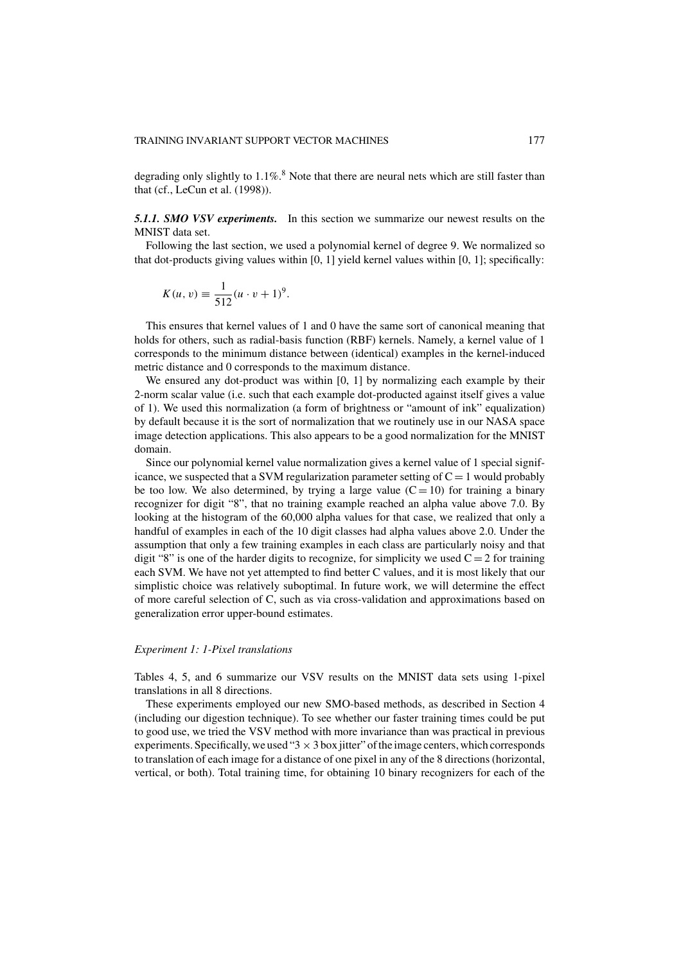degrading only slightly to  $1.1\%$ .<sup>8</sup> Note that there are neural nets which are still faster than that (cf., LeCun et al. (1998)).

5.1.1. SMO VSV experiments. In this section we summarize our newest results on the MNIST data set.

Following the last section, we used a polynomial kernel of degree 9. We normalized so that dot-products giving values within [0, 1] yield kernel values within [0, 1]; specifically:

$$
K(u, v) \equiv \frac{1}{512}(u \cdot v + 1)^9.
$$

This ensures that kernel values of 1 and 0 have the same sort of canonical meaning that holds for others, such as radial-basis function (RBF) kernels. Namely, a kernel value of 1 corresponds to the minimum distance between (identical) examples in the kernel-induced metric distance and 0 corresponds to the maximum distance.

We ensured any dot-product was within [0, 1] by normalizing each example by their 2-norm scalar value (i.e. such that each example dot-producted against itself gives a value of 1). We used this normalization (a form of brightness or "amount of ink" equalization) by default because it is the sort of normalization that we routinely use in our NASA space image detection applications. This also appears to be a good normalization for the MNIST domain.

Since our polynomial kernel value normalization gives a kernel value of 1 special significance, we suspected that a SVM regularization parameter setting of  $C = 1$  would probably be too low. We also determined, by trying a large value  $(C = 10)$  for training a binary recognizer for digit "8", that no training example reached an alpha value above 7.0. By looking at the histogram of the 60,000 alpha values for that case, we realized that only a handful of examples in each of the 10 digit classes had alpha values above 2.0. Under the assumption that only a few training examples in each class are particularly noisy and that digit "8" is one of the harder digits to recognize, for simplicity we used  $C = 2$  for training each SVM. We have not yet attempted to find better C values, and it is most likely that our simplistic choice was relatively suboptimal. In future work, we will determine the effect of more careful selection of C, such as via cross-validation and approximations based on generalization error upper-bound estimates.

### Experiment 1: 1-Pixel translations

Tables 4, 5, and 6 summarize our VSV results on the MNIST data sets using 1-pixel translations in all 8 directions.

These experiments employed our new SMO-based methods, as described in Section 4 (including our digestion technique). To see whether our faster training times could be put to good use, we tried the VSV method with more invariance than was practical in previous experiments. Specifically, we used " $3 \times 3$  box jitter" of the image centers, which corresponds to translation of each image for a distance of one pixel in any of the 8 directions (horizontal, vertical, or both). Total training time, for obtaining 10 binary recognizers for each of the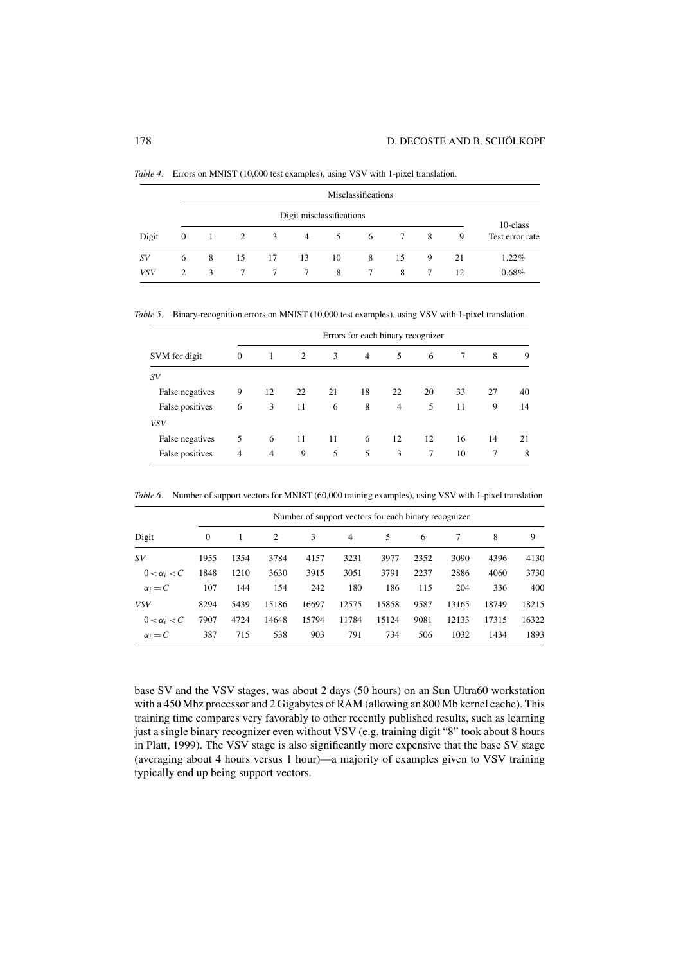|            |                | Misclassifications |    |    |                |                          |   |    |   |    |                 |  |
|------------|----------------|--------------------|----|----|----------------|--------------------------|---|----|---|----|-----------------|--|
|            |                |                    |    |    |                | Digit misclassifications |   |    |   |    | 10-class        |  |
| Digit      | $\mathbf{0}$   |                    | 2  | 3  | $\overline{4}$ | 5                        | 6 | 7  | 8 | 9  | Test error rate |  |
| SV         | 6              | 8                  | 15 | 17 | 13             | 10                       | 8 | 15 | 9 | 21 | 1.22%           |  |
| <i>VSV</i> | $\mathfrak{D}$ | 3                  |    | 7  | 7              | 8                        | 7 | 8  |   | 12 | 0.68%           |  |

Table 4. Errors on MNIST (10,000 test examples), using VSV with 1-pixel translation.

Table 5. Binary-recognition errors on MNIST (10,000 test examples), using VSV with 1-pixel translation.

|                 | Errors for each binary recognizer |                |    |    |                |                |    |    |    |    |  |  |
|-----------------|-----------------------------------|----------------|----|----|----------------|----------------|----|----|----|----|--|--|
| SVM for digit   | $\theta$                          | 1              | 2  | 3  | $\overline{4}$ | 5              | 6  | 7  | 8  | 9  |  |  |
| SV              |                                   |                |    |    |                |                |    |    |    |    |  |  |
| False negatives | 9                                 | 12             | 22 | 21 | 18             | 22             | 20 | 33 | 27 | 40 |  |  |
| False positives | 6                                 | 3              | 11 | 6  | 8              | $\overline{4}$ | 5  | 11 | 9  | 14 |  |  |
| <i>VSV</i>      |                                   |                |    |    |                |                |    |    |    |    |  |  |
| False negatives | 5                                 | 6              | 11 | 11 | 6              | 12             | 12 | 16 | 14 | 21 |  |  |
| False positives | 4                                 | $\overline{4}$ | 9  | 5  | 5              | 3              | 7  | 10 | 7  | 8  |  |  |

Table 6. Number of support vectors for MNIST (60,000 training examples), using VSV with 1-pixel translation.

|                    |          | Number of support vectors for each binary recognizer |       |       |                |       |      |       |       |       |  |  |  |  |
|--------------------|----------|------------------------------------------------------|-------|-------|----------------|-------|------|-------|-------|-------|--|--|--|--|
| Digit              | $\Omega$ | 1                                                    | 2     | 3     | $\overline{4}$ | 5     | 6    | 7     | 8     | 9     |  |  |  |  |
| SV                 | 1955     | 1354                                                 | 3784  | 4157  | 3231           | 3977  | 2352 | 3090  | 4396  | 4130  |  |  |  |  |
| $0 < \alpha_i < C$ | 1848     | 1210                                                 | 3630  | 3915  | 3051           | 3791  | 2237 | 2886  | 4060  | 3730  |  |  |  |  |
| $\alpha_i = C$     | 107      | 144                                                  | 154   | 242   | 180            | 186   | 115  | 204   | 336   | 400   |  |  |  |  |
| <b>VSV</b>         | 8294     | 5439                                                 | 15186 | 16697 | 12575          | 15858 | 9587 | 13165 | 18749 | 18215 |  |  |  |  |
| $0 < \alpha_i < C$ | 7907     | 4724                                                 | 14648 | 15794 | 11784          | 15124 | 9081 | 12133 | 17315 | 16322 |  |  |  |  |
| $\alpha_i = C$     | 387      | 715                                                  | 538   | 903   | 791            | 734   | 506  | 1032  | 1434  | 1893  |  |  |  |  |

base SV and the VSV stages, was about 2 days (50 hours) on an Sun Ultra60 workstation with a 450 Mhz processor and 2 Gigabytes of RAM (allowing an 800 Mb kernel cache). This training time compares very favorably to other recently published results, such as learning just a single binary recognizer even without VSV (e.g. training digit "8" took about 8 hours in Platt, 1999). The VSV stage is also significantly more expensive that the base SV stage (averaging about 4 hours versus 1 hour)—a majority of examples given to VSV training typically end up being support vectors.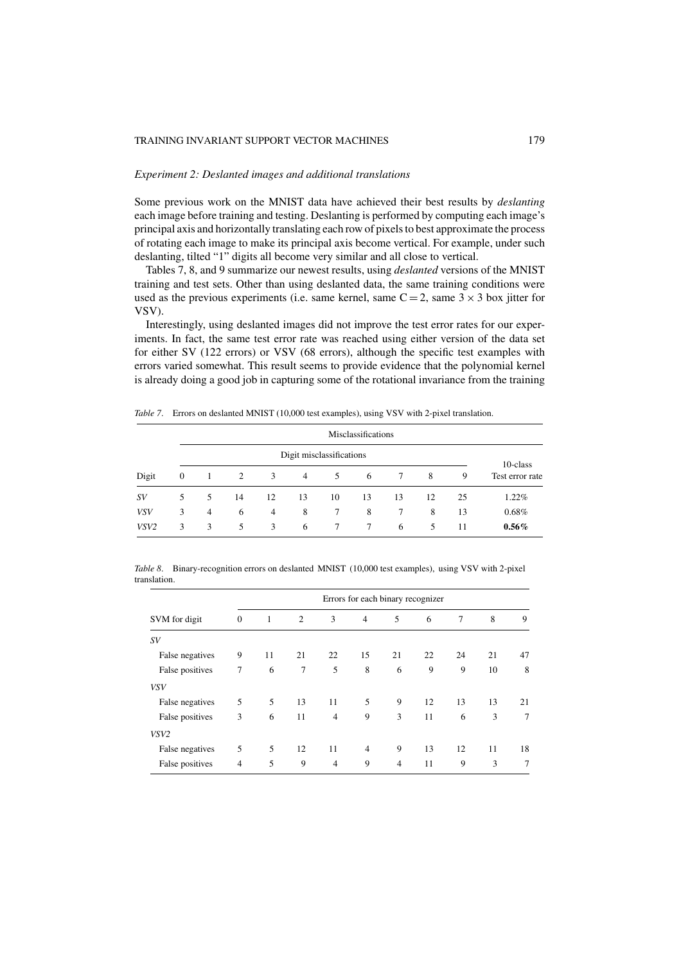#### Experiment 2: Deslanted images and additional translations

Some previous work on the MNIST data have achieved their best results by deslanting each image before training and testing. Deslanting is performed by computing each image's principal axis and horizontally translating each row of pixelsto best approximate the process of rotating each image to make its principal axis become vertical. For example, under such deslanting, tilted "1" digits all become very similar and all close to vertical.

Tables 7, 8, and 9 summarize our newest results, using deslanted versions of the MNIST training and test sets. Other than using deslanted data, the same training conditions were used as the previous experiments (i.e. same kernel, same  $C = 2$ , same  $3 \times 3$  box jitter for VSV).

Interestingly, using deslanted images did not improve the test error rates for our experiments. In fact, the same test error rate was reached using either version of the data set for either SV (122 errors) or VSV (68 errors), although the specific test examples with errors varied somewhat. This result seems to provide evidence that the polynomial kernel is already doing a good job in capturing some of the rotational invariance from the training

Table 7. Errors on deslanted MNIST (10,000 test examples), using VSV with 2-pixel translation.

|                  |              | Misclassifications |    |                |                          |    |                 |    |    |    |                 |  |
|------------------|--------------|--------------------|----|----------------|--------------------------|----|-----------------|----|----|----|-----------------|--|
|                  |              |                    |    |                | Digit misclassifications |    |                 |    |    |    | 10-class        |  |
| Digit            | $\mathbf{0}$ |                    | 2  | 3              | $\overline{4}$           | 5  | 6               | 7  | 8  | 9  | Test error rate |  |
| SV               | 5.           | 5.                 | 14 | 12             | 13                       | 10 | 13              | 13 | 12 | 25 | 1.22%           |  |
| <i>VSV</i>       | 3            | 4                  | 6  | $\overline{4}$ | 8                        | 7  | 8               | 7  | 8  | 13 | 0.68%           |  |
| VSV <sub>2</sub> | 3            | 3                  | 5  | 3              | 6                        |    | $7\phantom{.0}$ | 6  | 5  | 11 | $0.56\%$        |  |

Table 8. Binary-recognition errors on deslanted MNIST (10,000 test examples), using VSV with 2-pixel translation.

|                  | Errors for each binary recognizer |              |                |                |                |                |    |    |    |                 |  |  |
|------------------|-----------------------------------|--------------|----------------|----------------|----------------|----------------|----|----|----|-----------------|--|--|
| SVM for digit    | $\mathbf{0}$                      | $\mathbf{1}$ | 2              | 3              | $\overline{4}$ | 5              | 6  | 7  | 8  | 9               |  |  |
| SV               |                                   |              |                |                |                |                |    |    |    |                 |  |  |
| False negatives  | 9                                 | 11           | 21             | 22             | 15             | 21             | 22 | 24 | 21 | 47              |  |  |
| False positives  | 7                                 | 6            | $\overline{7}$ | 5              | 8              | 6              | 9  | 9  | 10 | 8               |  |  |
| <b>VSV</b>       |                                   |              |                |                |                |                |    |    |    |                 |  |  |
| False negatives  | 5                                 | 5            | 13             | 11             | 5              | 9              | 12 | 13 | 13 | 21              |  |  |
| False positives  | 3                                 | 6            | 11             | $\overline{4}$ | 9              | 3              | 11 | 6  | 3  | $7\phantom{.0}$ |  |  |
| VSV <sub>2</sub> |                                   |              |                |                |                |                |    |    |    |                 |  |  |
| False negatives  | 5                                 | 5            | 12             | 11             | $\overline{4}$ | 9              | 13 | 12 | 11 | 18              |  |  |
| False positives  | 4                                 | 5            | 9              | $\overline{4}$ | 9              | $\overline{4}$ | 11 | 9  | 3  | 7               |  |  |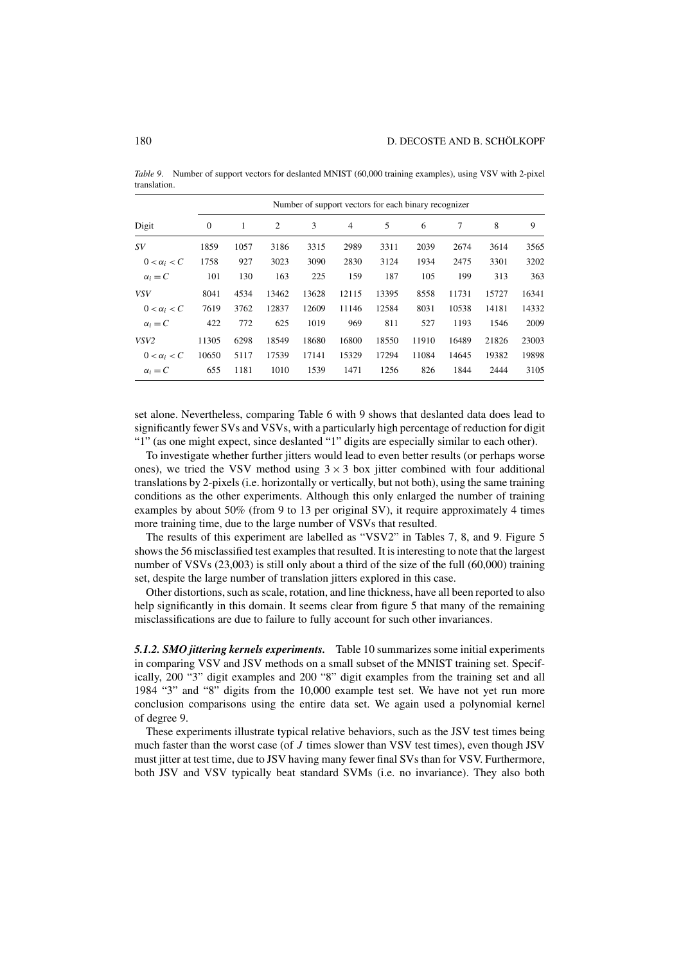|                    |          | Number of support vectors for each binary recognizer |       |       |                |       |       |       |       |       |  |  |  |
|--------------------|----------|------------------------------------------------------|-------|-------|----------------|-------|-------|-------|-------|-------|--|--|--|
| Digit              | $\theta$ | 1                                                    | 2     | 3     | $\overline{4}$ | 5     | 6     | 7     | 8     | 9     |  |  |  |
| SV                 | 1859     | 1057                                                 | 3186  | 3315  | 2989           | 3311  | 2039  | 2674  | 3614  | 3565  |  |  |  |
| $0 < \alpha_i < C$ | 1758     | 927                                                  | 3023  | 3090  | 2830           | 3124  | 1934  | 2475  | 3301  | 3202  |  |  |  |
| $\alpha_i = C$     | 101      | 130                                                  | 163   | 225   | 159            | 187   | 105   | 199   | 313   | 363   |  |  |  |
| <b>VSV</b>         | 8041     | 4534                                                 | 13462 | 13628 | 12115          | 13395 | 8558  | 11731 | 15727 | 16341 |  |  |  |
| $0 < \alpha_i < C$ | 7619     | 3762                                                 | 12837 | 12609 | 11146          | 12584 | 8031  | 10538 | 14181 | 14332 |  |  |  |
| $\alpha_i = C$     | 422      | 772                                                  | 625   | 1019  | 969            | 811   | 527   | 1193  | 1546  | 2009  |  |  |  |
| VSV <sub>2</sub>   | 11305    | 6298                                                 | 18549 | 18680 | 16800          | 18550 | 11910 | 16489 | 21826 | 23003 |  |  |  |
| $0 < \alpha_i < C$ | 10650    | 5117                                                 | 17539 | 17141 | 15329          | 17294 | 11084 | 14645 | 19382 | 19898 |  |  |  |
| $\alpha_i = C$     | 655      | 1181                                                 | 1010  | 1539  | 1471           | 1256  | 826   | 1844  | 2444  | 3105  |  |  |  |

Table 9. Number of support vectors for deslanted MNIST (60,000 training examples), using VSV with 2-pixel translation.

set alone. Nevertheless, comparing Table 6 with 9 shows that deslanted data does lead to significantly fewer SVs and VSVs, with a particularly high percentage of reduction for digit "1" (as one might expect, since deslanted "1" digits are especially similar to each other).

To investigate whether further jitters would lead to even better results (or perhaps worse ones), we tried the VSV method using  $3 \times 3$  box jitter combined with four additional translations by 2-pixels (i.e. horizontally or vertically, but not both), using the same training conditions as the other experiments. Although this only enlarged the number of training examples by about 50% (from 9 to 13 per original SV), it require approximately 4 times more training time, due to the large number of VSVs that resulted.

The results of this experiment are labelled as "VSV2" in Tables 7, 8, and 9. Figure 5 shows the 56 misclassified test examples that resulted. It is interesting to note that the largest number of VSVs (23,003) is still only about a third of the size of the full (60,000) training set, despite the large number of translation jitters explored in this case.

Other distortions, such as scale, rotation, and line thickness, have all been reported to also help significantly in this domain. It seems clear from figure 5 that many of the remaining misclassifications are due to failure to fully account for such other invariances.

5.1.2. SMO jittering kernels experiments. Table 10 summarizes some initial experiments in comparing VSV and JSV methods on a small subset of the MNIST training set. Specifically, 200 "3" digit examples and 200 "8" digit examples from the training set and all 1984 "3" and "8" digits from the 10,000 example test set. We have not yet run more conclusion comparisons using the entire data set. We again used a polynomial kernel of degree 9.

These experiments illustrate typical relative behaviors, such as the JSV test times being much faster than the worst case (of J times slower than VSV test times), even though JSV must jitter at test time, due to JSV having many fewer final SVs than for VSV. Furthermore, both JSV and VSV typically beat standard SVMs (i.e. no invariance). They also both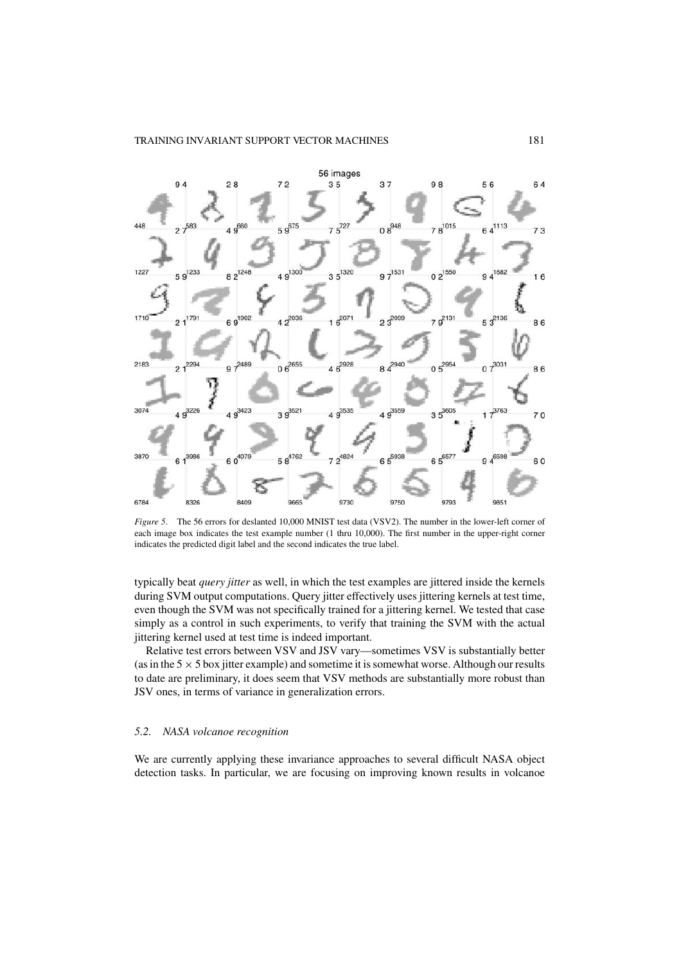

Figure 5. The 56 errors for deslanted 10,000 MNIST test data (VSV2). The number in the lower-left corner of each image box indicates the test example number (1 thru 10,000). The first number in the upper-right corner indicates the predicted digit label and the second indicates the true label.

typically beat *query jitter* as well, in which the test examples are jittered inside the kernels during SVM output computations. Query jitter effectively uses jittering kernels at test time, even though the SVM was not specifically trained for a jittering kernel. We tested that case simply as a control in such experiments, to verify that training the SVM with the actual jittering kernel used at test time is indeed important.

Relative test errors between VSV and JSV vary—sometimes VSV is substantially better (as in the  $5 \times 5$  box jitter example) and sometime it is somewhat worse. Although our results to date are preliminary, it does seem that VSV methods are substantially more robust than JSV ones, in terms of variance in generalization errors.

# 5.2. NASA volcanoe recognition

We are currently applying these invariance approaches to several difficult NASA object detection tasks. In particular, we are focusing on improving known results in volcanoe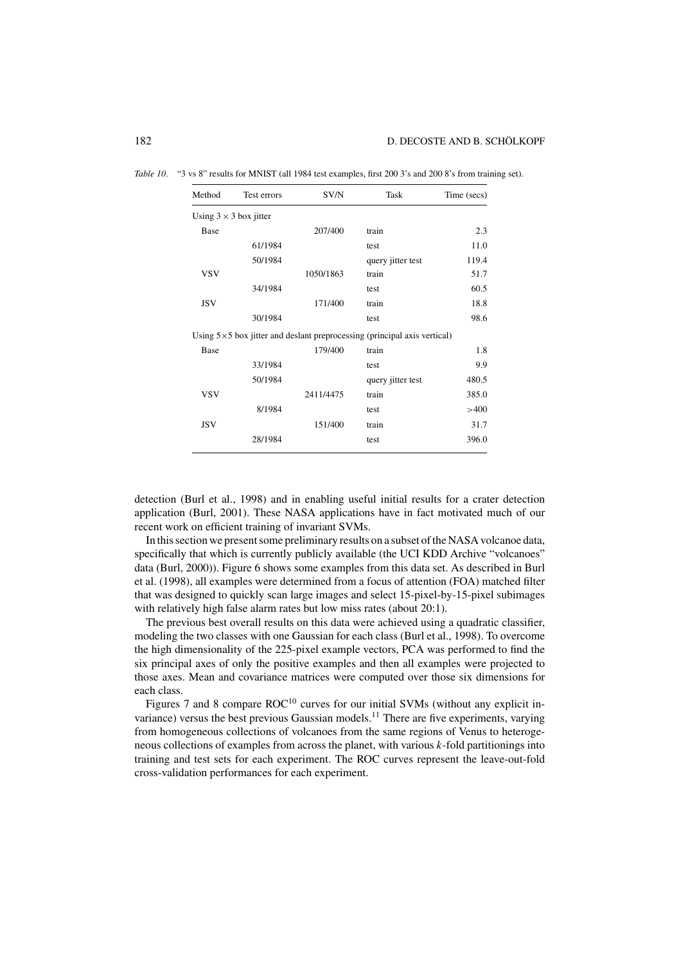| Method      | Test errors                   | SV/N      | Task                                                                              | Time (secs) |
|-------------|-------------------------------|-----------|-----------------------------------------------------------------------------------|-------------|
|             | Using $3 \times 3$ box jitter |           |                                                                                   |             |
| Base        |                               | 207/400   | train                                                                             | 2.3         |
|             | 61/1984                       |           | test                                                                              | 11.0        |
|             | 50/1984                       |           | query jitter test                                                                 | 119.4       |
| <b>VSV</b>  |                               | 1050/1863 | train                                                                             | 51.7        |
|             | 34/1984                       |           | test                                                                              | 60.5        |
| JSV         |                               | 171/400   | train                                                                             | 18.8        |
|             | 30/1984                       |           | test                                                                              | 98.6        |
|             |                               |           | Using $5 \times 5$ box jitter and deslant preprocessing (principal axis vertical) |             |
| <b>Base</b> |                               | 179/400   | train                                                                             | 1.8         |
|             | 33/1984                       |           | test                                                                              | 9.9         |
|             | 50/1984                       |           | query jitter test                                                                 | 480.5       |
| <b>VSV</b>  |                               | 2411/4475 | train                                                                             | 385.0       |
|             | 8/1984                        |           | test                                                                              | >400        |
| <b>JSV</b>  |                               | 151/400   | train                                                                             | 31.7        |
|             | 28/1984                       |           | test                                                                              | 396.0       |

Table 10. "3 vs 8" results for MNIST (all 1984 test examples, first 200 3's and 200 8's from training set).

detection (Burl et al., 1998) and in enabling useful initial results for a crater detection application (Burl, 2001). These NASA applications have in fact motivated much of our recent work on efficient training of invariant SVMs.

In this section we present some preliminary results on a subset of the NASA volcanoe data, specifically that which is currently publicly available (the UCI KDD Archive "volcanoes" data (Burl, 2000)). Figure 6 shows some examples from this data set. As described in Burl et al. (1998), all examples were determined from a focus of attention (FOA) matched filter that was designed to quickly scan large images and select 15-pixel-by-15-pixel subimages with relatively high false alarm rates but low miss rates (about 20:1).

The previous best overall results on this data were achieved using a quadratic classifier, modeling the two classes with one Gaussian for each class (Burl et al., 1998). To overcome the high dimensionality of the 225-pixel example vectors, PCA was performed to find the six principal axes of only the positive examples and then all examples were projected to those axes. Mean and covariance matrices were computed over those six dimensions for each class.

Figures 7 and 8 compare  $ROC^{10}$  curves for our initial SVMs (without any explicit invariance) versus the best previous Gaussian models.<sup>11</sup> There are five experiments, varying from homogeneous collections of volcanoes from the same regions of Venus to heterogeneous collections of examples from across the planet, with various k-fold partitionings into training and test sets for each experiment. The ROC curves represent the leave-out-fold cross-validation performances for each experiment.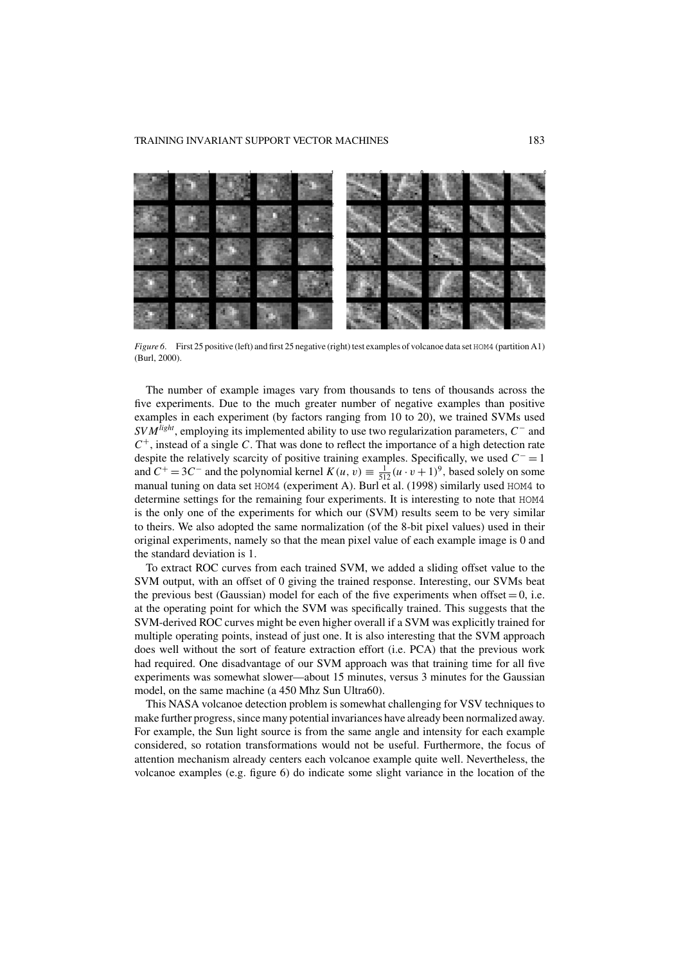

Figure 6. First 25 positive (left) and first 25 negative (right) test examples of volcanoe data set  $HOM4$  (partition A1) (Burl, 2000).

The number of example images vary from thousands to tens of thousands across the five experiments. Due to the much greater number of negative examples than positive examples in each experiment (by factors ranging from 10 to 20), we trained SVMs used  $SVM<sup>light</sup>$ , employing its implemented ability to use two regularization parameters,  $C^-$  and  $C^+$ , instead of a single C. That was done to reflect the importance of a high detection rate despite the relatively scarcity of positive training examples. Specifically, we used  $C^- = 1$ and  $C^+ = 3C^-$  and the polynomial kernel  $K(u, v) \equiv \frac{1}{512}(u \cdot v + 1)^9$ , based solely on some manual tuning on data set HOM4 (experiment A). Burl et al. (1998) similarly used HOM4 to determine settings for the remaining four experiments. It is interesting to note that HOM4 is the only one of the experiments for which our (SVM) results seem to be very similar to theirs. We also adopted the same normalization (of the 8-bit pixel values) used in their original experiments, namely so that the mean pixel value of each example image is 0 and the standard deviation is 1.

To extract ROC curves from each trained SVM, we added a sliding offset value to the SVM output, with an offset of 0 giving the trained response. Interesting, our SVMs beat the previous best (Gaussian) model for each of the five experiments when offset  $= 0$ , i.e. at the operating point for which the SVM was specifically trained. This suggests that the SVM-derived ROC curves might be even higher overall if a SVM was explicitly trained for multiple operating points, instead of just one. It is also interesting that the SVM approach does well without the sort of feature extraction effort (i.e. PCA) that the previous work had required. One disadvantage of our SVM approach was that training time for all five experiments was somewhat slower—about 15 minutes, versus 3 minutes for the Gaussian model, on the same machine (a 450 Mhz Sun Ultra60).

This NASA volcanoe detection problem is somewhat challenging for VSV techniques to make further progress, since many potential invariances have already been normalized away. For example, the Sun light source is from the same angle and intensity for each example considered, so rotation transformations would not be useful. Furthermore, the focus of attention mechanism already centers each volcanoe example quite well. Nevertheless, the volcanoe examples (e.g. figure 6) do indicate some slight variance in the location of the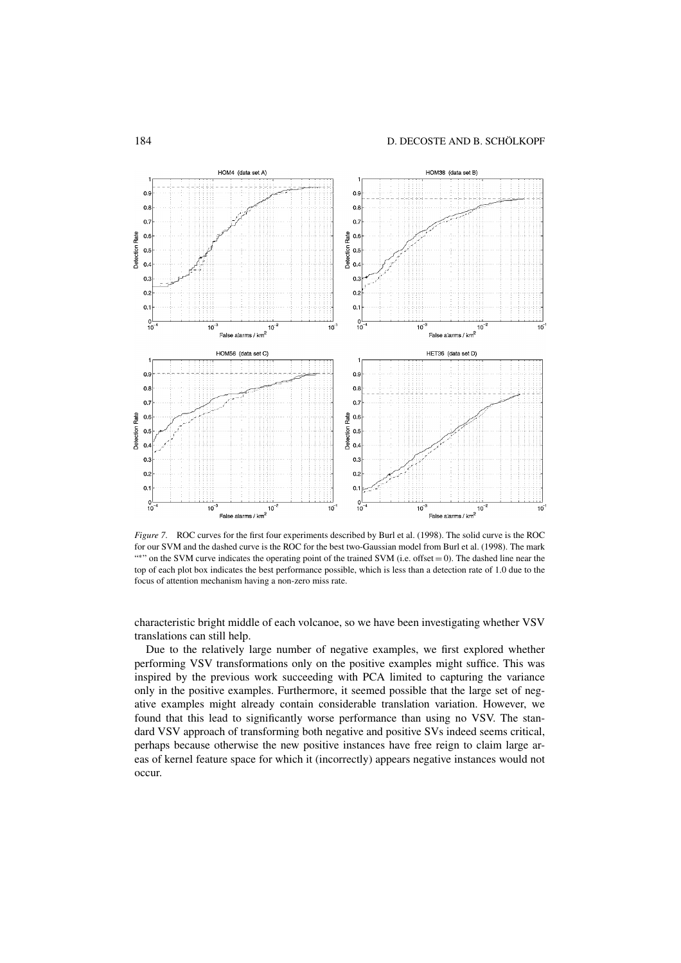

Figure 7. ROC curves for the first four experiments described by Burl et al. (1998). The solid curve is the ROC for our SVM and the dashed curve is the ROC for the best two-Gaussian model from Burl et al. (1998). The mark <sup>\*\*\*</sup> on the SVM curve indicates the operating point of the trained SVM (i.e. offset = 0). The dashed line near the top of each plot box indicates the best performance possible, which is less than a detection rate of 1.0 due to the focus of attention mechanism having a non-zero miss rate.

characteristic bright middle of each volcanoe, so we have been investigating whether VSV translations can still help.

Due to the relatively large number of negative examples, we first explored whether performing VSV transformations only on the positive examples might suffice. This was inspired by the previous work succeeding with PCA limited to capturing the variance only in the positive examples. Furthermore, it seemed possible that the large set of negative examples might already contain considerable translation variation. However, we found that this lead to significantly worse performance than using no VSV. The standard VSV approach of transforming both negative and positive SVs indeed seems critical, perhaps because otherwise the new positive instances have free reign to claim large areas of kernel feature space for which it (incorrectly) appears negative instances would not occur.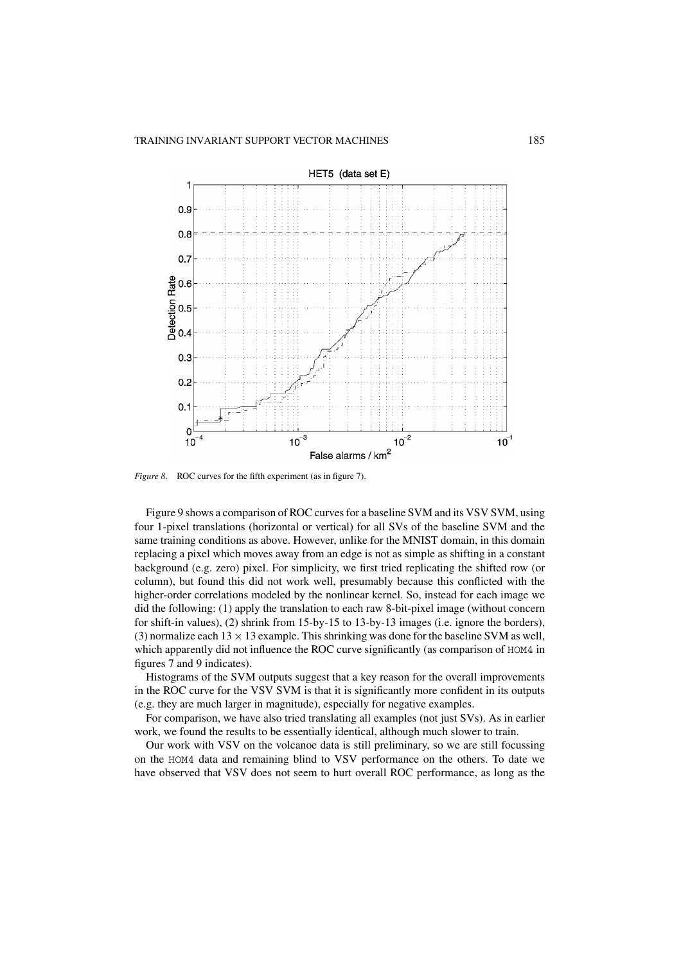

Figure 8. ROC curves for the fifth experiment (as in figure 7).

Figure 9 shows a comparison of ROC curvesfor a baseline SVM and its VSV SVM, using four 1-pixel translations (horizontal or vertical) for all SVs of the baseline SVM and the same training conditions as above. However, unlike for the MNIST domain, in this domain replacing a pixel which moves away from an edge is not as simple as shifting in a constant background (e.g. zero) pixel. For simplicity, we first tried replicating the shifted row (or column), but found this did not work well, presumably because this conflicted with the higher-order correlations modeled by the nonlinear kernel. So, instead for each image we did the following: (1) apply the translation to each raw 8-bit-pixel image (without concern for shift-in values), (2) shrink from 15-by-15 to 13-by-13 images (i.e. ignore the borders), (3) normalize each  $13 \times 13$  example. This shrinking was done for the baseline SVM as well, which apparently did not influence the ROC curve significantly (as comparison of HOM4 in figures 7 and 9 indicates).

Histograms of the SVM outputs suggest that a key reason for the overall improvements in the ROC curve for the VSV SVM is that it is significantly more confident in its outputs (e.g. they are much larger in magnitude), especially for negative examples.

For comparison, we have also tried translating all examples (not just SVs). As in earlier work, we found the results to be essentially identical, although much slower to train.

Our work with VSV on the volcanoe data is still preliminary, so we are still focussing on the HOM4 data and remaining blind to VSV performance on the others. To date we have observed that VSV does not seem to hurt overall ROC performance, as long as the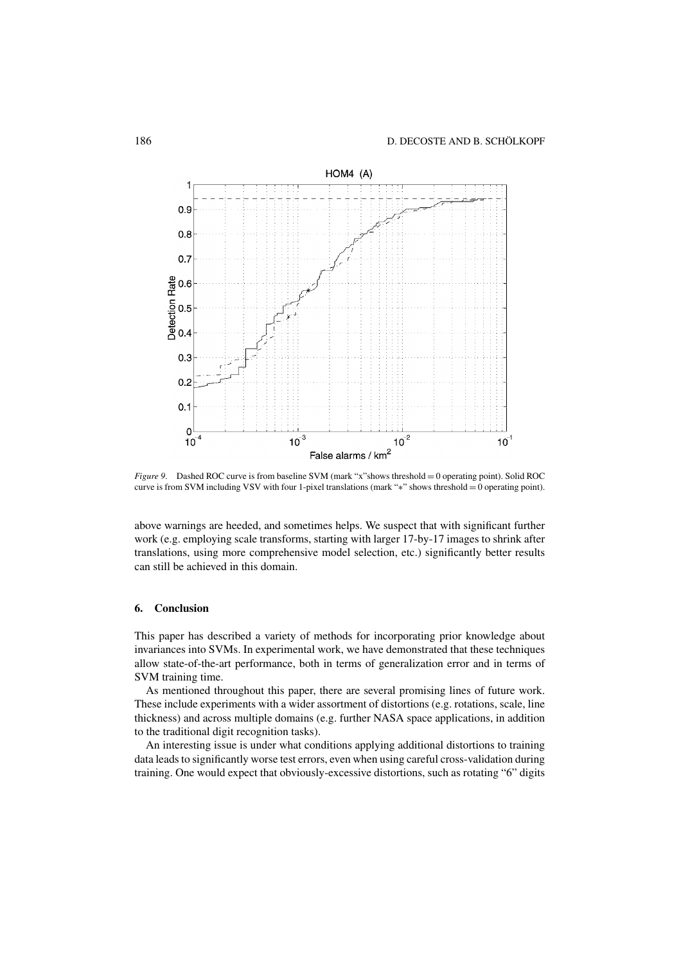

Figure 9. Dashed ROC curve is from baseline SVM (mark "x"shows threshold = 0 operating point). Solid ROC curve is from SVM including VSV with four 1-pixel translations (mark "∗" shows threshold = 0 operating point).

above warnings are heeded, and sometimes helps. We suspect that with significant further work (e.g. employing scale transforms, starting with larger 17-by-17 images to shrink after translations, using more comprehensive model selection, etc.) significantly better results can still be achieved in this domain.

# 6. Conclusion

This paper has described a variety of methods for incorporating prior knowledge about invariances into SVMs. In experimental work, we have demonstrated that these techniques allow state-of-the-art performance, both in terms of generalization error and in terms of SVM training time.

As mentioned throughout this paper, there are several promising lines of future work. These include experiments with a wider assortment of distortions (e.g. rotations, scale, line thickness) and across multiple domains (e.g. further NASA space applications, in addition to the traditional digit recognition tasks).

An interesting issue is under what conditions applying additional distortions to training data leads to significantly worse test errors, even when using careful cross-validation during training. One would expect that obviously-excessive distortions, such as rotating "6" digits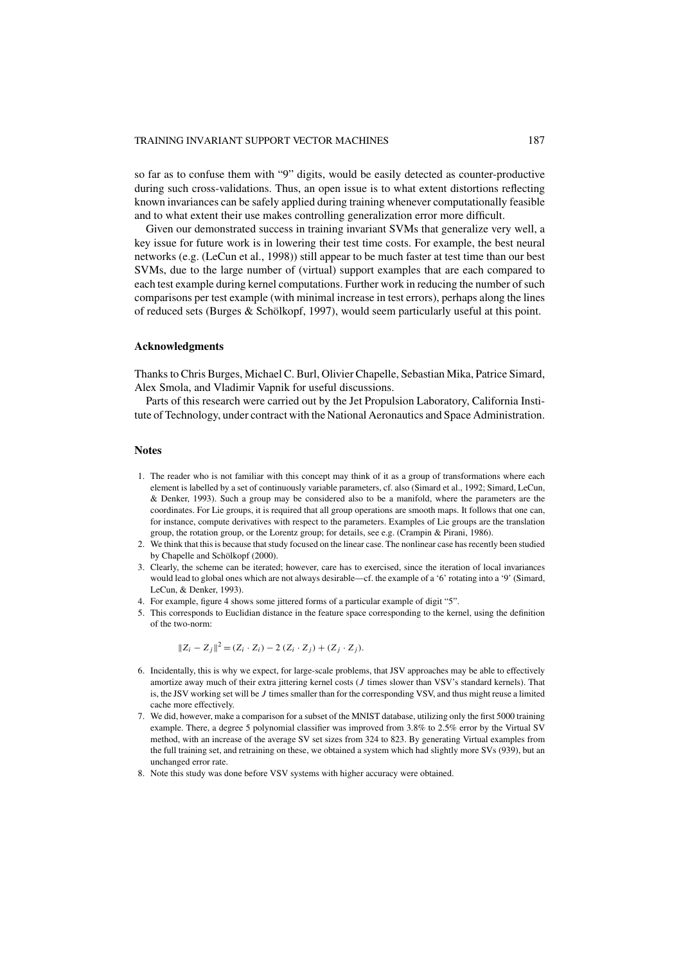so far as to confuse them with "9" digits, would be easily detected as counter-productive during such cross-validations. Thus, an open issue is to what extent distortions reflecting known invariances can be safely applied during training whenever computationally feasible and to what extent their use makes controlling generalization error more difficult.

Given our demonstrated success in training invariant SVMs that generalize very well, a key issue for future work is in lowering their test time costs. For example, the best neural networks (e.g. (LeCun et al., 1998)) still appear to be much faster at test time than our best SVMs, due to the large number of (virtual) support examples that are each compared to each test example during kernel computations. Further work in reducing the number of such comparisons per test example (with minimal increase in test errors), perhaps along the lines of reduced sets (Burges & Schölkopf, 1997), would seem particularly useful at this point.

## Acknowledgments

Thanksto Chris Burges, Michael C. Burl, Olivier Chapelle, Sebastian Mika, Patrice Simard, Alex Smola, and Vladimir Vapnik for useful discussions.

Parts of this research were carried out by the Jet Propulsion Laboratory, California Institute of Technology, under contract with the National Aeronautics and Space Administration.

### **Notes**

- 1. The reader who is not familiar with this concept may think of it as a group of transformations where each element is labelled by a set of continuously variable parameters, cf. also (Simard et al., 1992; Simard, LeCun, & Denker, 1993). Such a group may be considered also to be a manifold, where the parameters are the coordinates. For Lie groups, it is required that all group operations are smooth maps. It follows that one can, for instance, compute derivatives with respect to the parameters. Examples of Lie groups are the translation group, the rotation group, or the Lorentz group; for details, see e.g. (Crampin & Pirani, 1986).
- 2. We think that this is because that study focused on the linear case. The nonlinear case has recently been studied by Chapelle and Schölkopf (2000).
- 3. Clearly, the scheme can be iterated; however, care has to exercised, since the iteration of local invariances would lead to global ones which are not always desirable—cf. the example of a '6' rotating into a '9' (Simard, LeCun, & Denker, 1993).
- 4. For example, figure 4 shows some jittered forms of a particular example of digit "5".
- 5. This corresponds to Euclidian distance in the feature space corresponding to the kernel, using the definition of the two-norm:

$$
||Z_i - Z_j||^2 = (Z_i \cdot Z_i) - 2(Z_i \cdot Z_j) + (Z_j \cdot Z_j).
$$

- 6. Incidentally, this is why we expect, for large-scale problems, that JSV approaches may be able to effectively amortize away much of their extra jittering kernel costs (J times slower than VSV's standard kernels). That is, the JSV working set will be J times smaller than for the corresponding VSV, and thus might reuse a limited cache more effectively.
- 7. We did, however, make a comparison for a subset of the MNIST database, utilizing only the first 5000 training example. There, a degree 5 polynomial classifier was improved from 3.8% to 2.5% error by the Virtual SV method, with an increase of the average SV set sizes from 324 to 823. By generating Virtual examples from the full training set, and retraining on these, we obtained a system which had slightly more SVs (939), but an unchanged error rate.
- 8. Note this study was done before VSV systems with higher accuracy were obtained.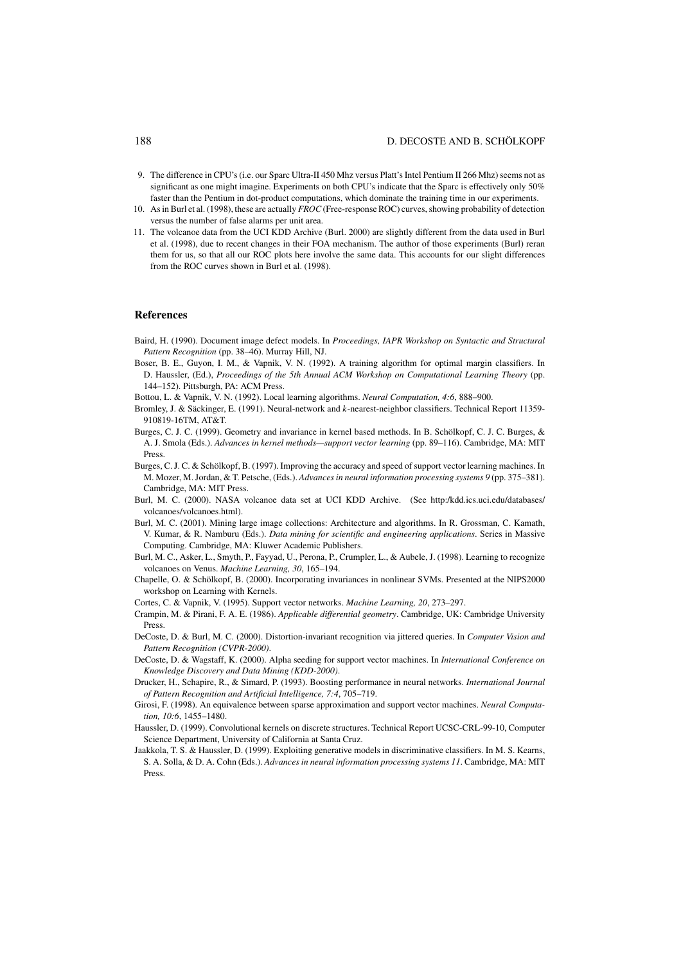#### 188 D. DECOSTE AND B. SCHÖLKOPF

- 9. The difference in CPU's (i.e. our Sparc Ultra-II 450 Mhz versus Platt's Intel Pentium II 266 Mhz) seems not as significant as one might imagine. Experiments on both CPU's indicate that the Sparc is effectively only 50% faster than the Pentium in dot-product computations, which dominate the training time in our experiments.
- 10. As in Burl et al. (1998), these are actually FROC (Free-response ROC) curves, showing probability of detection versus the number of false alarms per unit area.
- 11. The volcanoe data from the UCI KDD Archive (Burl. 2000) are slightly different from the data used in Burl et al. (1998), due to recent changes in their FOA mechanism. The author of those experiments (Burl) reran them for us, so that all our ROC plots here involve the same data. This accounts for our slight differences from the ROC curves shown in Burl et al. (1998).

### References

- Baird, H. (1990). Document image defect models. In Proceedings, IAPR Workshop on Syntactic and Structural Pattern Recognition (pp. 38–46). Murray Hill, NJ.
- Boser, B. E., Guyon, I. M., & Vapnik, V. N. (1992). A training algorithm for optimal margin classifiers. In D. Haussler, (Ed.), Proceedings of the 5th Annual ACM Workshop on Computational Learning Theory (pp. 144–152). Pittsburgh, PA: ACM Press.
- Bottou, L. & Vapnik, V. N. (1992). Local learning algorithms. Neural Computation, 4:6, 888–900.
- Bromley, J. & Säckinger, E. (1991). Neural-network and k-nearest-neighbor classifiers. Technical Report 11359-910819-16TM, AT&T.
- Burges, C. J. C. (1999). Geometry and invariance in kernel based methods. In B. Schölkopf, C. J. C. Burges, & A. J. Smola (Eds.). Advances in kernel methods—support vector learning (pp. 89–116). Cambridge, MA: MIT Press.
- Burges, C.J. C. & Schölkopf, B. (1997). Improving the accuracy and speed of support vector learning machines. In M. Mozer, M.Jordan, & T. Petsche, (Eds.). Advancesin neural information processing systems 9 (pp. 375–381). Cambridge, MA: MIT Press.
- Burl, M. C. (2000). NASA volcanoe data set at UCI KDD Archive. (See http:/kdd.ics.uci.edu/databases/ volcanoes/volcanoes.html).
- Burl, M. C. (2001). Mining large image collections: Architecture and algorithms. In R. Grossman, C. Kamath, V. Kumar, & R. Namburu (Eds.). Data mining for scientific and engineering applications. Series in Massive Computing. Cambridge, MA: Kluwer Academic Publishers.
- Burl, M. C., Asker, L., Smyth, P., Fayyad, U., Perona, P., Crumpler, L., & Aubele, J. (1998). Learning to recognize volcanoes on Venus. Machine Learning, 30, 165–194.
- Chapelle, O. & Schölkopf, B. (2000). Incorporating invariances in nonlinear SVMs. Presented at the NIPS2000 workshop on Learning with Kernels.
- Cortes, C. & Vapnik, V. (1995). Support vector networks. Machine Learning, 20, 273–297.
- Crampin, M. & Pirani, F. A. E. (1986). Applicable differential geometry. Cambridge, UK: Cambridge University Press.
- DeCoste, D. & Burl, M. C. (2000). Distortion-invariant recognition via jittered queries. In Computer Vision and Pattern Recognition (CVPR-2000).
- DeCoste, D. & Wagstaff, K. (2000). Alpha seeding for support vector machines. In International Conference on Knowledge Discovery and Data Mining (KDD-2000).
- Drucker, H., Schapire, R., & Simard, P. (1993). Boosting performance in neural networks. International Journal of Pattern Recognition and Artificial Intelligence, 7:4, 705–719.
- Girosi, F. (1998). An equivalence between sparse approximation and support vector machines. Neural Computation, 10:6, 1455–1480.
- Haussler, D. (1999). Convolutional kernels on discrete structures. Technical Report UCSC-CRL-99-10, Computer Science Department, University of California at Santa Cruz.
- Jaakkola, T. S. & Haussler, D. (1999). Exploiting generative models in discriminative classifiers. In M. S. Kearns, S. A. Solla, & D. A. Cohn (Eds.). Advances in neural information processing systems 11. Cambridge, MA: MIT Press.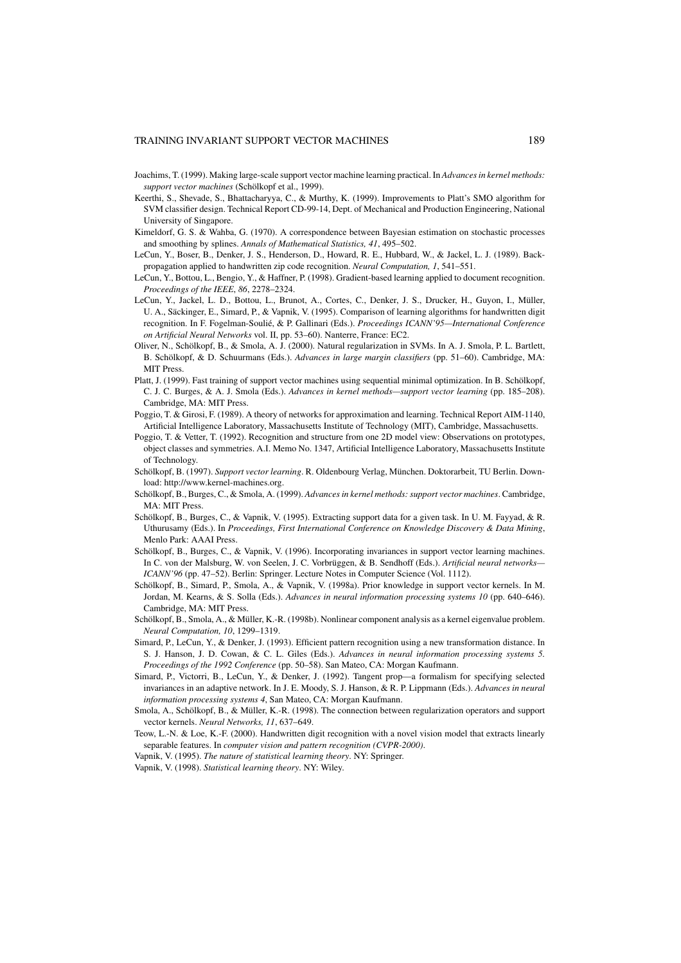#### TRAINING INVARIANT SUPPORT VECTOR MACHINES 189

- Joachims, T. (1999). Making large-scale support vector machine learning practical. In Advances in kernel methods: support vector machines (Schölkopf et al., 1999).
- Keerthi, S., Shevade, S., Bhattacharyya, C., & Murthy, K. (1999). Improvements to Platt's SMO algorithm for SVM classifier design. Technical Report CD-99-14, Dept. of Mechanical and Production Engineering, National University of Singapore.
- Kimeldorf, G. S. & Wahba, G. (1970). A correspondence between Bayesian estimation on stochastic processes and smoothing by splines. Annals of Mathematical Statistics, 41, 495–502.
- LeCun, Y., Boser, B., Denker, J. S., Henderson, D., Howard, R. E., Hubbard, W., & Jackel, L. J. (1989). Backpropagation applied to handwritten zip code recognition. Neural Computation, 1, 541–551.
- LeCun, Y., Bottou, L., Bengio, Y., & Haffner, P. (1998). Gradient-based learning applied to document recognition. Proceedings of the IEEE, 86, 2278–2324.
- LeCun, Y., Jackel, L. D., Bottou, L., Brunot, A., Cortes, C., Denker, J. S., Drucker, H., Guyon, I., Müller, U. A., Säckinger, E., Simard, P., & Vapnik, V. (1995). Comparison of learning algorithms for handwritten digit recognition. In F. Fogelman-Soulié, & P. Gallinari (Eds.). Proceedings ICANN'95—International Conference on Artificial Neural Networks vol. II, pp. 53–60). Nanterre, France: EC2.
- Oliver, N., Schölkopf, B., & Smola, A. J. (2000). Natural regularization in SVMs. In A. J. Smola, P. L. Bartlett, B. Schölkopf, & D. Schuurmans (Eds.). Advances in large margin classifiers (pp. 51-60). Cambridge, MA: MIT Press.
- Platt, J. (1999). Fast training of support vector machines using sequential minimal optimization. In B. Schölkopf, C. J. C. Burges, & A. J. Smola (Eds.). Advances in kernel methods—support vector learning (pp. 185–208). Cambridge, MA: MIT Press.
- Poggio, T. & Girosi, F. (1989). A theory of networks for approximation and learning. Technical Report AIM-1140, Artificial Intelligence Laboratory, Massachusetts Institute of Technology (MIT), Cambridge, Massachusetts.
- Poggio, T. & Vetter, T. (1992). Recognition and structure from one 2D model view: Observations on prototypes, object classes and symmetries. A.I. Memo No. 1347, Artificial Intelligence Laboratory, Massachusetts Institute of Technology.
- Schölkopf, B. (1997). Support vector learning. R. Oldenbourg Verlag, München. Doktorarbeit, TU Berlin. Download: http://www.kernel-machines.org.
- Schölkopf, B., Burges, C., & Smola, A. (1999). Advances in kernel methods: support vector machines. Cambridge, MA: MIT Press.
- Schölkopf, B., Burges, C., & Vapnik, V. (1995). Extracting support data for a given task. In U. M. Fayyad, & R. Uthurusamy (Eds.). In Proceedings, First International Conference on Knowledge Discovery & Data Mining, Menlo Park: AAAI Press.
- Schölkopf, B., Burges, C., & Vapnik, V. (1996). Incorporating invariances in support vector learning machines. In C. von der Malsburg, W. von Seelen, J. C. Vorbrüggen, & B. Sendhoff (Eds.). Artificial neural networks-ICANN'96 (pp. 47–52). Berlin: Springer. Lecture Notes in Computer Science (Vol. 1112).
- Schölkopf, B., Simard, P., Smola, A., & Vapnik, V. (1998a). Prior knowledge in support vector kernels. In M. Jordan, M. Kearns, & S. Solla (Eds.). Advances in neural information processing systems 10 (pp. 640–646). Cambridge, MA: MIT Press.
- Schölkopf, B., Smola, A., & Müller, K.-R. (1998b). Nonlinear component analysis as a kernel eigenvalue problem. Neural Computation, 10, 1299–1319.
- Simard, P., LeCun, Y., & Denker, J. (1993). Efficient pattern recognition using a new transformation distance. In S. J. Hanson, J. D. Cowan, & C. L. Giles (Eds.). Advances in neural information processing systems 5. Proceedings of the 1992 Conference (pp. 50–58). San Mateo, CA: Morgan Kaufmann.
- Simard, P., Victorri, B., LeCun, Y., & Denker, J. (1992). Tangent prop—a formalism for specifying selected invariances in an adaptive network. In J. E. Moody, S. J. Hanson, & R. P. Lippmann (Eds.). Advances in neural information processing systems 4, San Mateo, CA: Morgan Kaufmann.
- Smola, A., Schölkopf, B., & Müller, K.-R. (1998). The connection between regularization operators and support vector kernels. Neural Networks, 11, 637–649.
- Teow, L.-N. & Loe, K.-F. (2000). Handwritten digit recognition with a novel vision model that extracts linearly separable features. In *computer vision and pattern recognition* (CVPR-2000).
- Vapnik, V. (1995). The nature of statistical learning theory. NY: Springer.

Vapnik, V. (1998). Statistical learning theory. NY: Wiley.